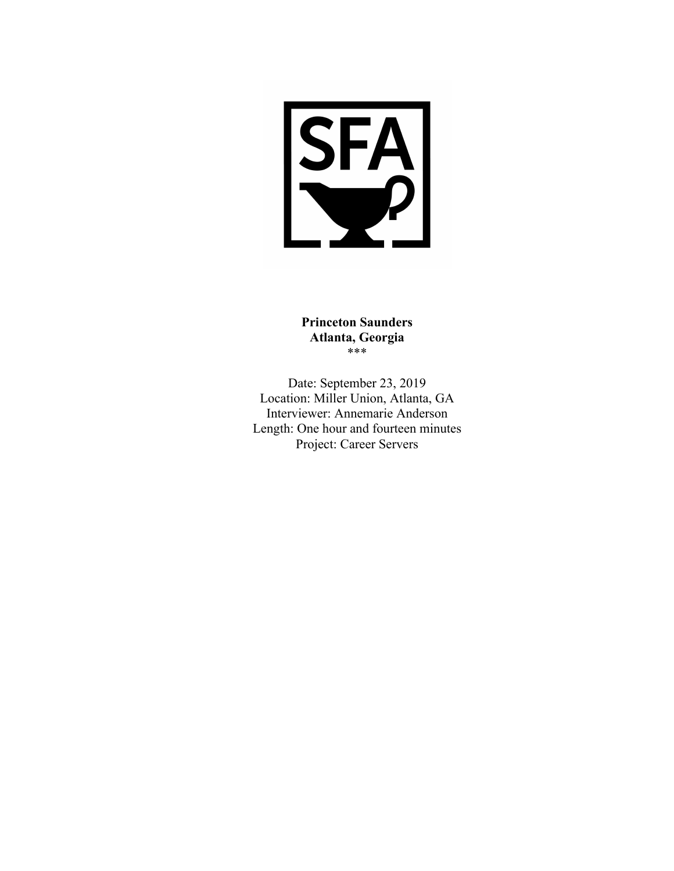

**Princeton Saunders Atlanta, Georgia** \*\*\*

Date: September 23, 2019 Location: Miller Union, Atlanta, GA Interviewer: Annemarie Anderson Length: One hour and fourteen minutes Project: Career Servers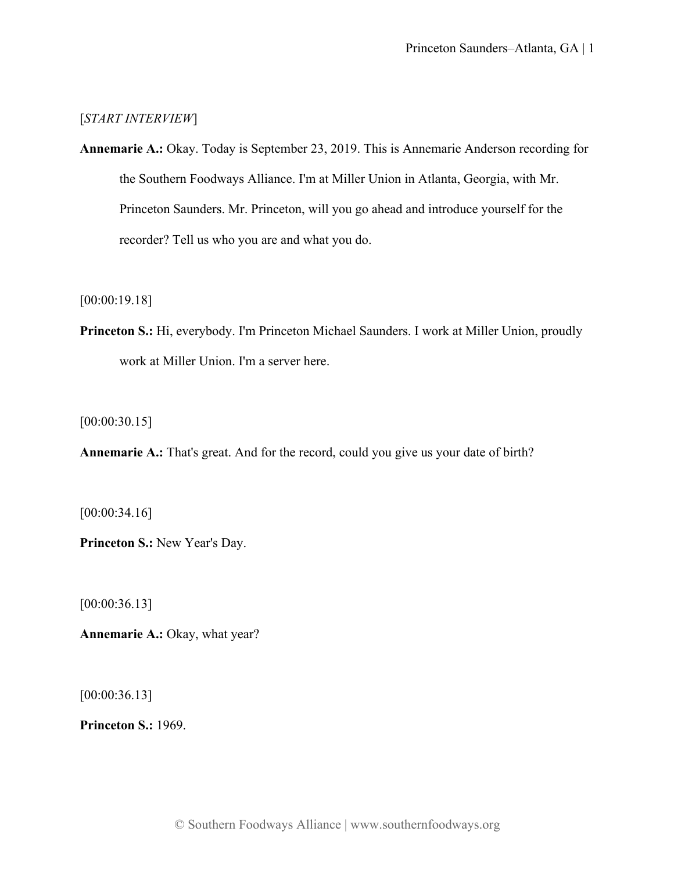## [*START INTERVIEW*]

**Annemarie A.:** Okay. Today is September 23, 2019. This is Annemarie Anderson recording for the Southern Foodways Alliance. I'm at Miller Union in Atlanta, Georgia, with Mr. Princeton Saunders. Mr. Princeton, will you go ahead and introduce yourself for the recorder? Tell us who you are and what you do.

[00:00:19.18]

**Princeton S.:** Hi, everybody. I'm Princeton Michael Saunders. I work at Miller Union, proudly work at Miller Union. I'm a server here.

[00:00:30.15]

**Annemarie A.:** That's great. And for the record, could you give us your date of birth?

[00:00:34.16]

**Princeton S.:** New Year's Day.

[00:00:36.13]

**Annemarie A.:** Okay, what year?

[00:00:36.13]

**Princeton S.:** 1969.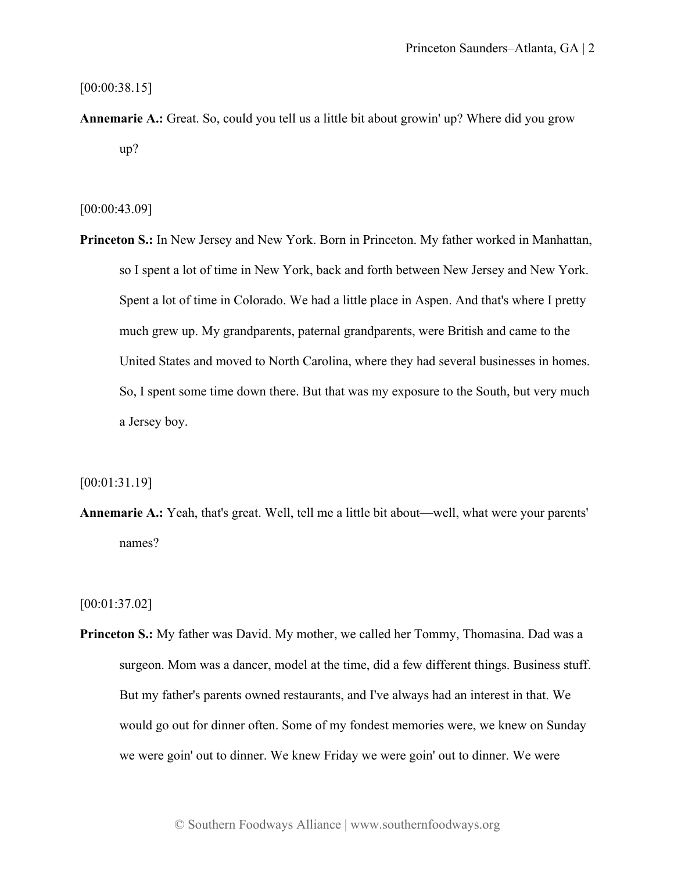### [00:00:38.15]

**Annemarie A.:** Great. So, could you tell us a little bit about growin' up? Where did you grow up?

#### [00:00:43.09]

**Princeton S.:** In New Jersey and New York. Born in Princeton. My father worked in Manhattan, so I spent a lot of time in New York, back and forth between New Jersey and New York. Spent a lot of time in Colorado. We had a little place in Aspen. And that's where I pretty much grew up. My grandparents, paternal grandparents, were British and came to the United States and moved to North Carolina, where they had several businesses in homes. So, I spent some time down there. But that was my exposure to the South, but very much a Jersey boy.

#### [00:01:31.19]

**Annemarie A.:** Yeah, that's great. Well, tell me a little bit about—well, what were your parents' names?

[00:01:37.02]

**Princeton S.:** My father was David. My mother, we called her Tommy, Thomasina. Dad was a surgeon. Mom was a dancer, model at the time, did a few different things. Business stuff. But my father's parents owned restaurants, and I've always had an interest in that. We would go out for dinner often. Some of my fondest memories were, we knew on Sunday we were goin' out to dinner. We knew Friday we were goin' out to dinner. We were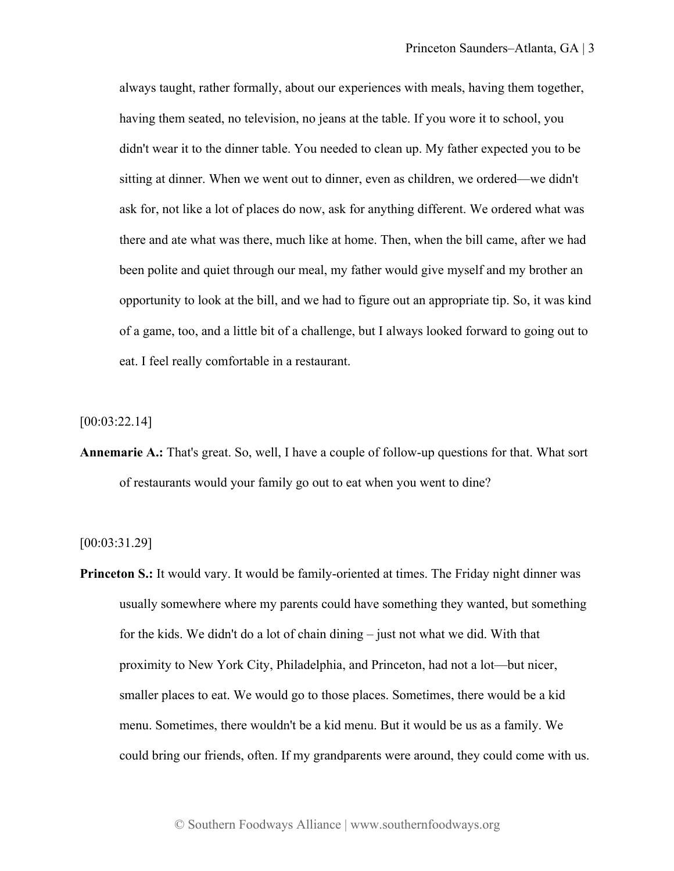always taught, rather formally, about our experiences with meals, having them together, having them seated, no television, no jeans at the table. If you wore it to school, you didn't wear it to the dinner table. You needed to clean up. My father expected you to be sitting at dinner. When we went out to dinner, even as children, we ordered—we didn't ask for, not like a lot of places do now, ask for anything different. We ordered what was there and ate what was there, much like at home. Then, when the bill came, after we had been polite and quiet through our meal, my father would give myself and my brother an opportunity to look at the bill, and we had to figure out an appropriate tip. So, it was kind of a game, too, and a little bit of a challenge, but I always looked forward to going out to eat. I feel really comfortable in a restaurant.

[00:03:22.14]

**Annemarie A.:** That's great. So, well, I have a couple of follow-up questions for that. What sort of restaurants would your family go out to eat when you went to dine?

[00:03:31.29]

**Princeton S.:** It would vary. It would be family-oriented at times. The Friday night dinner was usually somewhere where my parents could have something they wanted, but something for the kids. We didn't do a lot of chain dining – just not what we did. With that proximity to New York City, Philadelphia, and Princeton, had not a lot—but nicer, smaller places to eat. We would go to those places. Sometimes, there would be a kid menu. Sometimes, there wouldn't be a kid menu. But it would be us as a family. We could bring our friends, often. If my grandparents were around, they could come with us.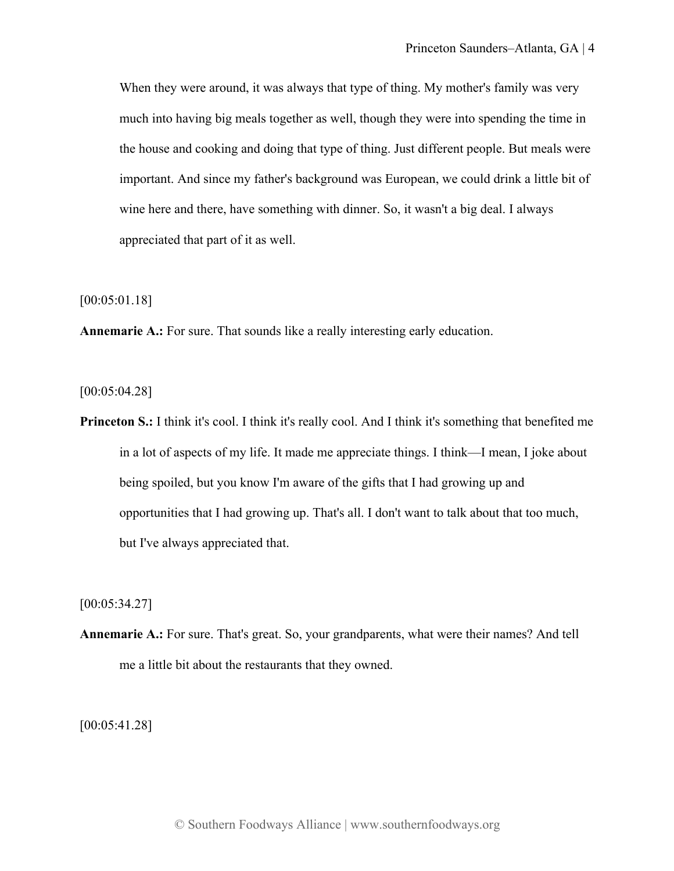When they were around, it was always that type of thing. My mother's family was very much into having big meals together as well, though they were into spending the time in the house and cooking and doing that type of thing. Just different people. But meals were important. And since my father's background was European, we could drink a little bit of wine here and there, have something with dinner. So, it wasn't a big deal. I always appreciated that part of it as well.

[00:05:01.18]

**Annemarie A.:** For sure. That sounds like a really interesting early education.

[00:05:04.28]

**Princeton S.:** I think it's cool. I think it's really cool. And I think it's something that benefited me in a lot of aspects of my life. It made me appreciate things. I think—I mean, I joke about being spoiled, but you know I'm aware of the gifts that I had growing up and opportunities that I had growing up. That's all. I don't want to talk about that too much, but I've always appreciated that.

[00:05:34.27]

**Annemarie A.:** For sure. That's great. So, your grandparents, what were their names? And tell me a little bit about the restaurants that they owned.

[00:05:41.28]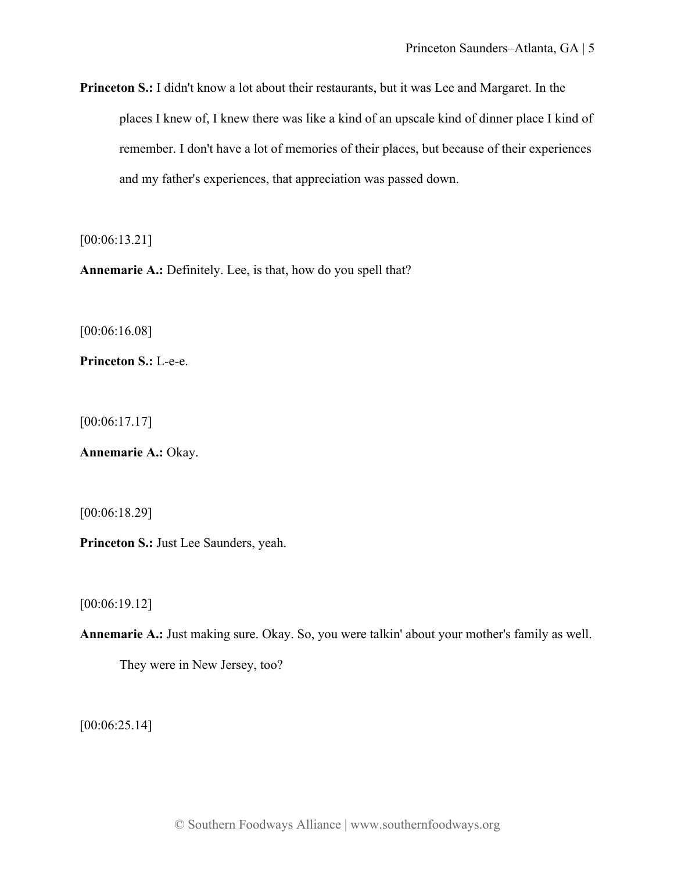**Princeton S.:** I didn't know a lot about their restaurants, but it was Lee and Margaret. In the places I knew of, I knew there was like a kind of an upscale kind of dinner place I kind of remember. I don't have a lot of memories of their places, but because of their experiences and my father's experiences, that appreciation was passed down.

[00:06:13.21]

**Annemarie A.:** Definitely. Lee, is that, how do you spell that?

[00:06:16.08]

**Princeton S.:** L-e-e.

[00:06:17.17]

**Annemarie A.:** Okay.

[00:06:18.29]

**Princeton S.:** Just Lee Saunders, yeah.

[00:06:19.12]

**Annemarie A.:** Just making sure. Okay. So, you were talkin' about your mother's family as well.

They were in New Jersey, too?

[00:06:25.14]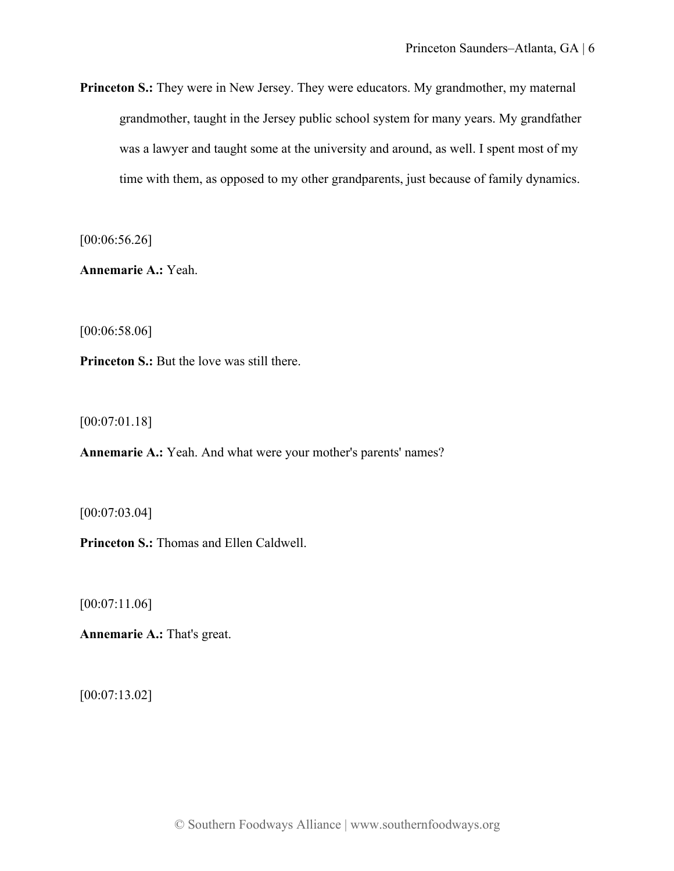**Princeton S.:** They were in New Jersey. They were educators. My grandmother, my maternal grandmother, taught in the Jersey public school system for many years. My grandfather was a lawyer and taught some at the university and around, as well. I spent most of my time with them, as opposed to my other grandparents, just because of family dynamics.

[00:06:56.26]

**Annemarie A.:** Yeah.

[00:06:58.06]

**Princeton S.:** But the love was still there.

[00:07:01.18]

**Annemarie A.:** Yeah. And what were your mother's parents' names?

[00:07:03.04]

**Princeton S.:** Thomas and Ellen Caldwell.

[00:07:11.06]

**Annemarie A.:** That's great.

[00:07:13.02]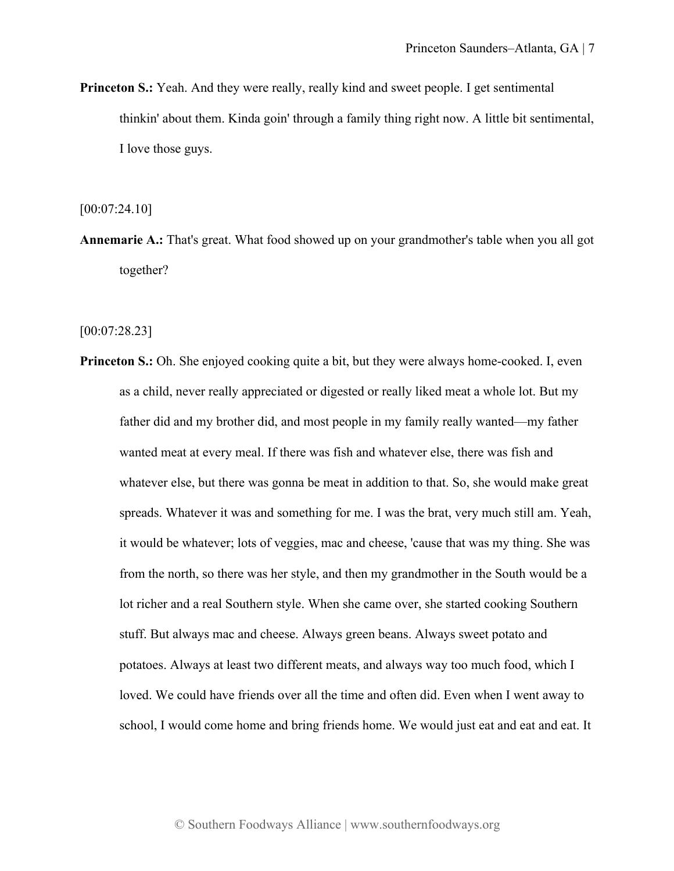**Princeton S.:** Yeah. And they were really, really kind and sweet people. I get sentimental thinkin' about them. Kinda goin' through a family thing right now. A little bit sentimental, I love those guys.

[00:07:24.10]

**Annemarie A.:** That's great. What food showed up on your grandmother's table when you all got together?

[00:07:28.23]

**Princeton S.:** Oh. She enjoyed cooking quite a bit, but they were always home-cooked. I, even as a child, never really appreciated or digested or really liked meat a whole lot. But my father did and my brother did, and most people in my family really wanted—my father wanted meat at every meal. If there was fish and whatever else, there was fish and whatever else, but there was gonna be meat in addition to that. So, she would make great spreads. Whatever it was and something for me. I was the brat, very much still am. Yeah, it would be whatever; lots of veggies, mac and cheese, 'cause that was my thing. She was from the north, so there was her style, and then my grandmother in the South would be a lot richer and a real Southern style. When she came over, she started cooking Southern stuff. But always mac and cheese. Always green beans. Always sweet potato and potatoes. Always at least two different meats, and always way too much food, which I loved. We could have friends over all the time and often did. Even when I went away to school, I would come home and bring friends home. We would just eat and eat and eat. It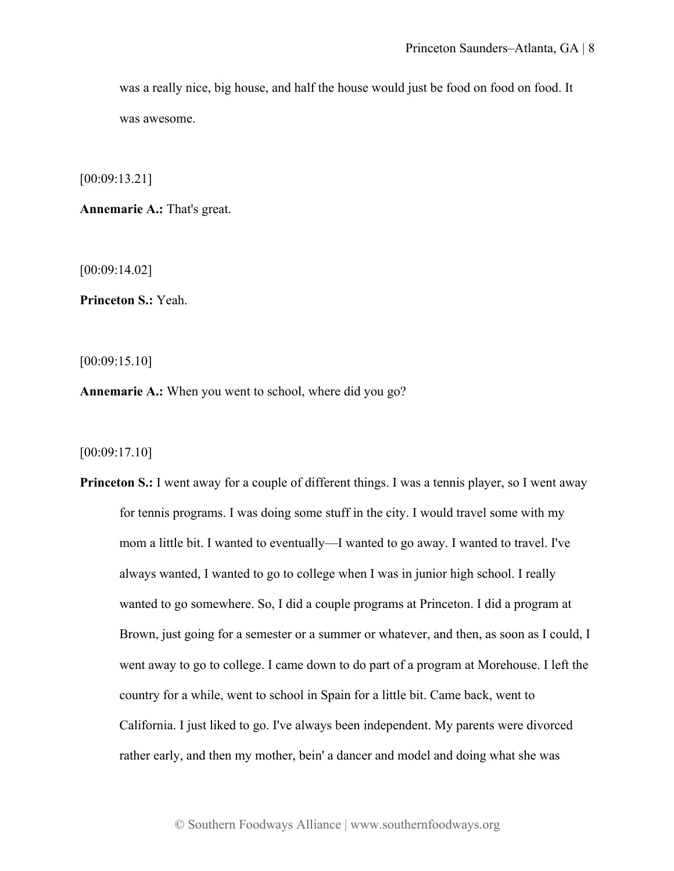was a really nice, big house, and half the house would just be food on food on food. It was awesome.

[00:09:13.21]

**Annemarie A.:** That's great.

[00:09:14.02]

**Princeton S.:** Yeah.

[00:09:15.10]

**Annemarie A.:** When you went to school, where did you go?

[00:09:17.10]

**Princeton S.:** I went away for a couple of different things. I was a tennis player, so I went away for tennis programs. I was doing some stuff in the city. I would travel some with my mom a little bit. I wanted to eventually—I wanted to go away. I wanted to travel. I've always wanted, I wanted to go to college when I was in junior high school. I really wanted to go somewhere. So, I did a couple programs at Princeton. I did a program at Brown, just going for a semester or a summer or whatever, and then, as soon as I could, I went away to go to college. I came down to do part of a program at Morehouse. I left the country for a while, went to school in Spain for a little bit. Came back, went to California. I just liked to go. I've always been independent. My parents were divorced rather early, and then my mother, bein' a dancer and model and doing what she was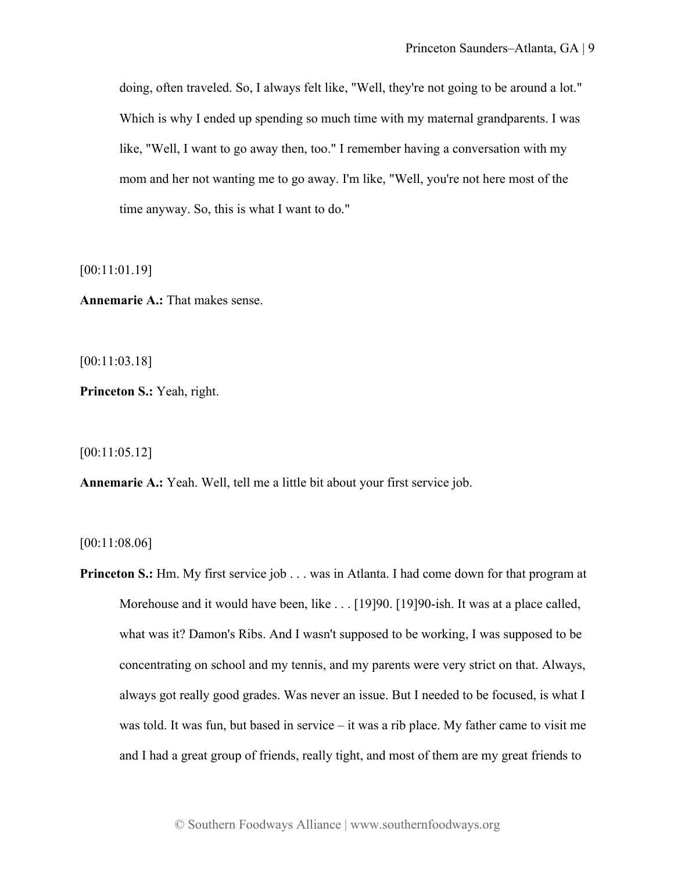doing, often traveled. So, I always felt like, "Well, they're not going to be around a lot." Which is why I ended up spending so much time with my maternal grandparents. I was like, "Well, I want to go away then, too." I remember having a conversation with my mom and her not wanting me to go away. I'm like, "Well, you're not here most of the time anyway. So, this is what I want to do."

[00:11:01.19]

**Annemarie A.:** That makes sense.

[00:11:03.18]

**Princeton S.:** Yeah, right.

[00:11:05.12]

**Annemarie A.:** Yeah. Well, tell me a little bit about your first service job.

[00:11:08.06]

**Princeton S.:** Hm. My first service job . . . was in Atlanta. I had come down for that program at Morehouse and it would have been, like . . . [19]90. [19]90-ish. It was at a place called, what was it? Damon's Ribs. And I wasn't supposed to be working, I was supposed to be concentrating on school and my tennis, and my parents were very strict on that. Always, always got really good grades. Was never an issue. But I needed to be focused, is what I was told. It was fun, but based in service – it was a rib place. My father came to visit me and I had a great group of friends, really tight, and most of them are my great friends to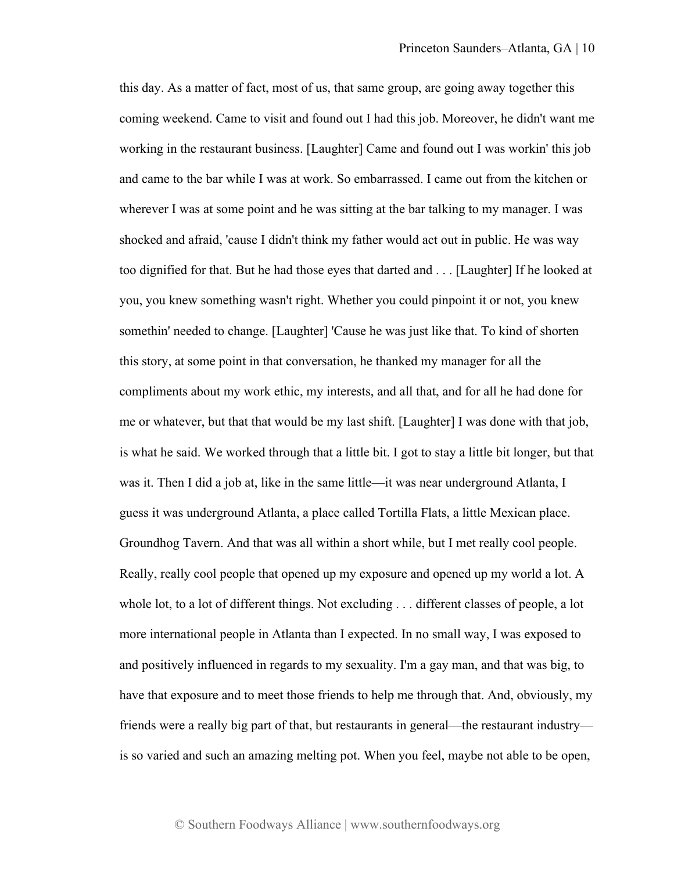this day. As a matter of fact, most of us, that same group, are going away together this coming weekend. Came to visit and found out I had this job. Moreover, he didn't want me working in the restaurant business. [Laughter] Came and found out I was workin' this job and came to the bar while I was at work. So embarrassed. I came out from the kitchen or wherever I was at some point and he was sitting at the bar talking to my manager. I was shocked and afraid, 'cause I didn't think my father would act out in public. He was way too dignified for that. But he had those eyes that darted and . . . [Laughter] If he looked at you, you knew something wasn't right. Whether you could pinpoint it or not, you knew somethin' needed to change. [Laughter] 'Cause he was just like that. To kind of shorten this story, at some point in that conversation, he thanked my manager for all the compliments about my work ethic, my interests, and all that, and for all he had done for me or whatever, but that that would be my last shift. [Laughter] I was done with that job, is what he said. We worked through that a little bit. I got to stay a little bit longer, but that was it. Then I did a job at, like in the same little—it was near underground Atlanta, I guess it was underground Atlanta, a place called Tortilla Flats, a little Mexican place. Groundhog Tavern. And that was all within a short while, but I met really cool people. Really, really cool people that opened up my exposure and opened up my world a lot. A whole lot, to a lot of different things. Not excluding . . . different classes of people, a lot more international people in Atlanta than I expected. In no small way, I was exposed to and positively influenced in regards to my sexuality. I'm a gay man, and that was big, to have that exposure and to meet those friends to help me through that. And, obviously, my friends were a really big part of that, but restaurants in general—the restaurant industry is so varied and such an amazing melting pot. When you feel, maybe not able to be open,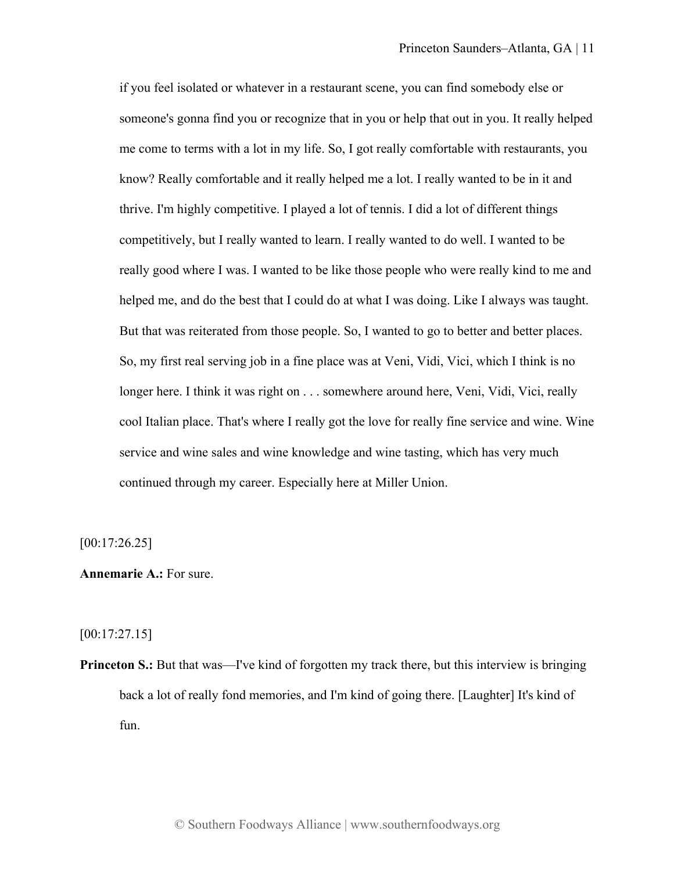if you feel isolated or whatever in a restaurant scene, you can find somebody else or someone's gonna find you or recognize that in you or help that out in you. It really helped me come to terms with a lot in my life. So, I got really comfortable with restaurants, you know? Really comfortable and it really helped me a lot. I really wanted to be in it and thrive. I'm highly competitive. I played a lot of tennis. I did a lot of different things competitively, but I really wanted to learn. I really wanted to do well. I wanted to be really good where I was. I wanted to be like those people who were really kind to me and helped me, and do the best that I could do at what I was doing. Like I always was taught. But that was reiterated from those people. So, I wanted to go to better and better places. So, my first real serving job in a fine place was at Veni, Vidi, Vici, which I think is no longer here. I think it was right on . . . somewhere around here, Veni, Vidi, Vici, really cool Italian place. That's where I really got the love for really fine service and wine. Wine service and wine sales and wine knowledge and wine tasting, which has very much continued through my career. Especially here at Miller Union.

[00:17:26.25]

**Annemarie A.:** For sure.

[00:17:27.15]

**Princeton S.:** But that was—I've kind of forgotten my track there, but this interview is bringing back a lot of really fond memories, and I'm kind of going there. [Laughter] It's kind of fun.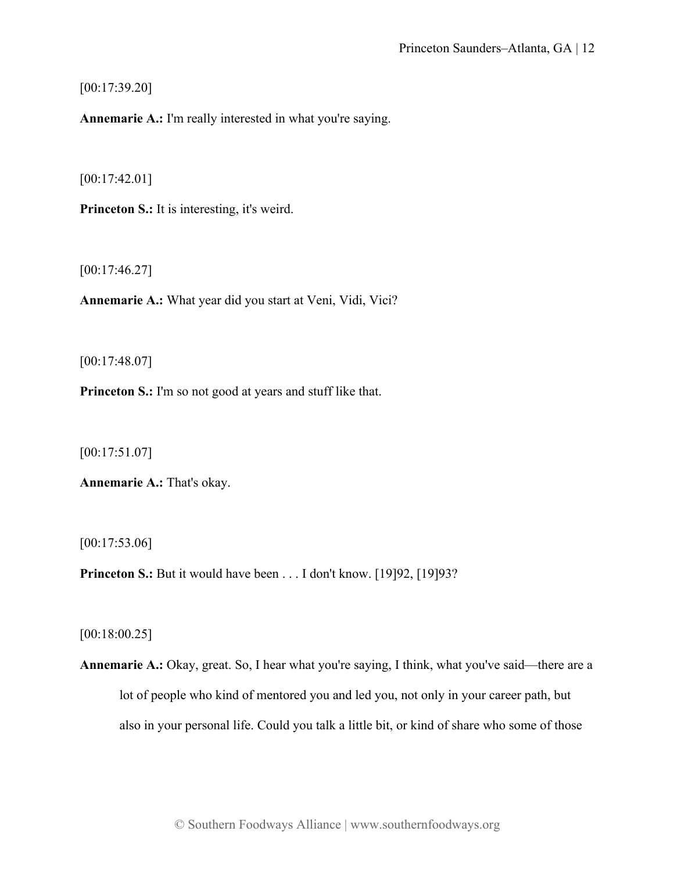[00:17:39.20]

**Annemarie A.:** I'm really interested in what you're saying.

[00:17:42.01]

**Princeton S.:** It is interesting, it's weird.

[00:17:46.27]

**Annemarie A.:** What year did you start at Veni, Vidi, Vici?

[00:17:48.07]

**Princeton S.:** I'm so not good at years and stuff like that.

[00:17:51.07]

**Annemarie A.:** That's okay.

[00:17:53.06]

**Princeton S.:** But it would have been . . . I don't know. [19] 92, [19] 93?

[00:18:00.25]

**Annemarie A.:** Okay, great. So, I hear what you're saying, I think, what you've said—there are a lot of people who kind of mentored you and led you, not only in your career path, but also in your personal life. Could you talk a little bit, or kind of share who some of those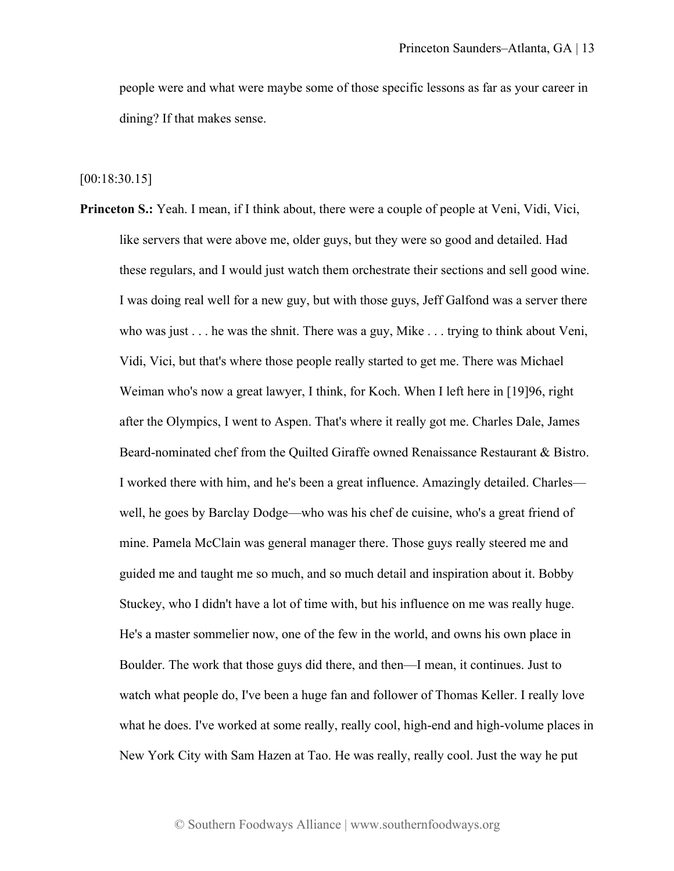people were and what were maybe some of those specific lessons as far as your career in dining? If that makes sense.

#### [00:18:30.15]

**Princeton S.:** Yeah. I mean, if I think about, there were a couple of people at Veni, Vidi, Vici, like servers that were above me, older guys, but they were so good and detailed. Had these regulars, and I would just watch them orchestrate their sections and sell good wine. I was doing real well for a new guy, but with those guys, Jeff Galfond was a server there who was just . . . he was the shnit. There was a guy, Mike . . . trying to think about Veni, Vidi, Vici, but that's where those people really started to get me. There was Michael Weiman who's now a great lawyer, I think, for Koch. When I left here in [19]96, right after the Olympics, I went to Aspen. That's where it really got me. Charles Dale, James Beard-nominated chef from the Quilted Giraffe owned Renaissance Restaurant & Bistro. I worked there with him, and he's been a great influence. Amazingly detailed. Charles well, he goes by Barclay Dodge—who was his chef de cuisine, who's a great friend of mine. Pamela McClain was general manager there. Those guys really steered me and guided me and taught me so much, and so much detail and inspiration about it. Bobby Stuckey, who I didn't have a lot of time with, but his influence on me was really huge. He's a master sommelier now, one of the few in the world, and owns his own place in Boulder. The work that those guys did there, and then—I mean, it continues. Just to watch what people do, I've been a huge fan and follower of Thomas Keller. I really love what he does. I've worked at some really, really cool, high-end and high-volume places in New York City with Sam Hazen at Tao. He was really, really cool. Just the way he put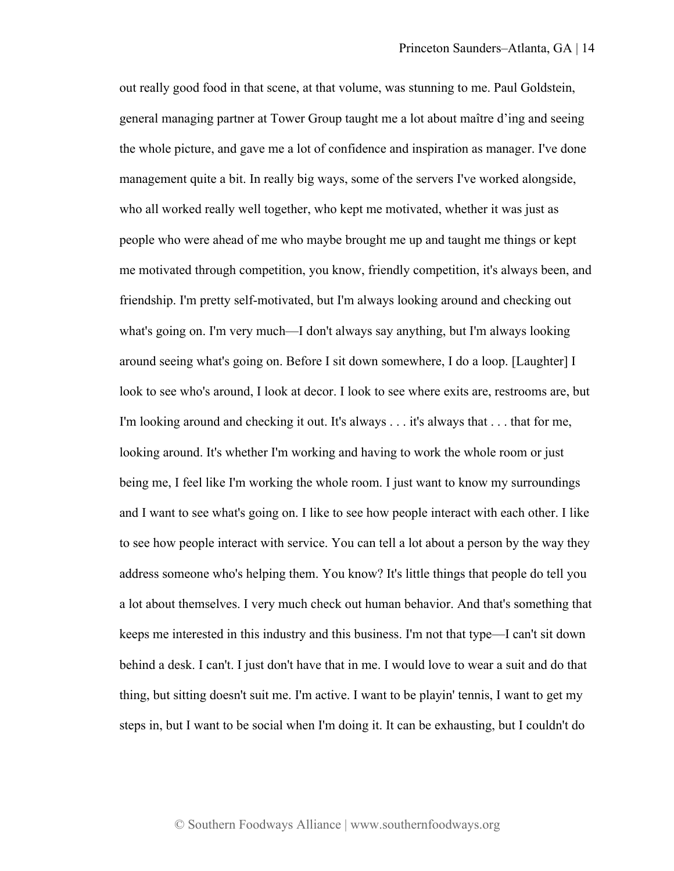out really good food in that scene, at that volume, was stunning to me. Paul Goldstein, general managing partner at Tower Group taught me a lot about maître d'ing and seeing the whole picture, and gave me a lot of confidence and inspiration as manager. I've done management quite a bit. In really big ways, some of the servers I've worked alongside, who all worked really well together, who kept me motivated, whether it was just as people who were ahead of me who maybe brought me up and taught me things or kept me motivated through competition, you know, friendly competition, it's always been, and friendship. I'm pretty self-motivated, but I'm always looking around and checking out what's going on. I'm very much—I don't always say anything, but I'm always looking around seeing what's going on. Before I sit down somewhere, I do a loop. [Laughter] I look to see who's around, I look at decor. I look to see where exits are, restrooms are, but I'm looking around and checking it out. It's always . . . it's always that . . . that for me, looking around. It's whether I'm working and having to work the whole room or just being me, I feel like I'm working the whole room. I just want to know my surroundings and I want to see what's going on. I like to see how people interact with each other. I like to see how people interact with service. You can tell a lot about a person by the way they address someone who's helping them. You know? It's little things that people do tell you a lot about themselves. I very much check out human behavior. And that's something that keeps me interested in this industry and this business. I'm not that type—I can't sit down behind a desk. I can't. I just don't have that in me. I would love to wear a suit and do that thing, but sitting doesn't suit me. I'm active. I want to be playin' tennis, I want to get my steps in, but I want to be social when I'm doing it. It can be exhausting, but I couldn't do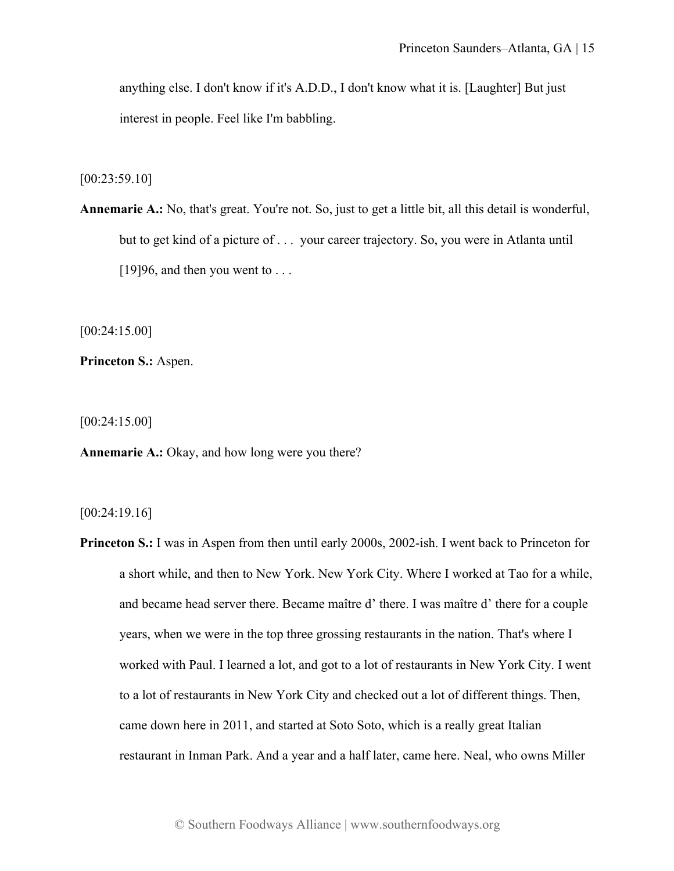anything else. I don't know if it's A.D.D., I don't know what it is. [Laughter] But just interest in people. Feel like I'm babbling.

[00:23:59.10]

**Annemarie A.:** No, that's great. You're not. So, just to get a little bit, all this detail is wonderful, but to get kind of a picture of . . . your career trajectory. So, you were in Atlanta until  $[19]96$ , and then you went to ...

[00:24:15.00]

**Princeton S.:** Aspen.

[00:24:15.00]

**Annemarie A.:** Okay, and how long were you there?

[00:24:19.16]

**Princeton S.:** I was in Aspen from then until early 2000s, 2002-ish. I went back to Princeton for a short while, and then to New York. New York City. Where I worked at Tao for a while, and became head server there. Became maître d' there. I was maître d' there for a couple years, when we were in the top three grossing restaurants in the nation. That's where I worked with Paul. I learned a lot, and got to a lot of restaurants in New York City. I went to a lot of restaurants in New York City and checked out a lot of different things. Then, came down here in 2011, and started at Soto Soto, which is a really great Italian restaurant in Inman Park. And a year and a half later, came here. Neal, who owns Miller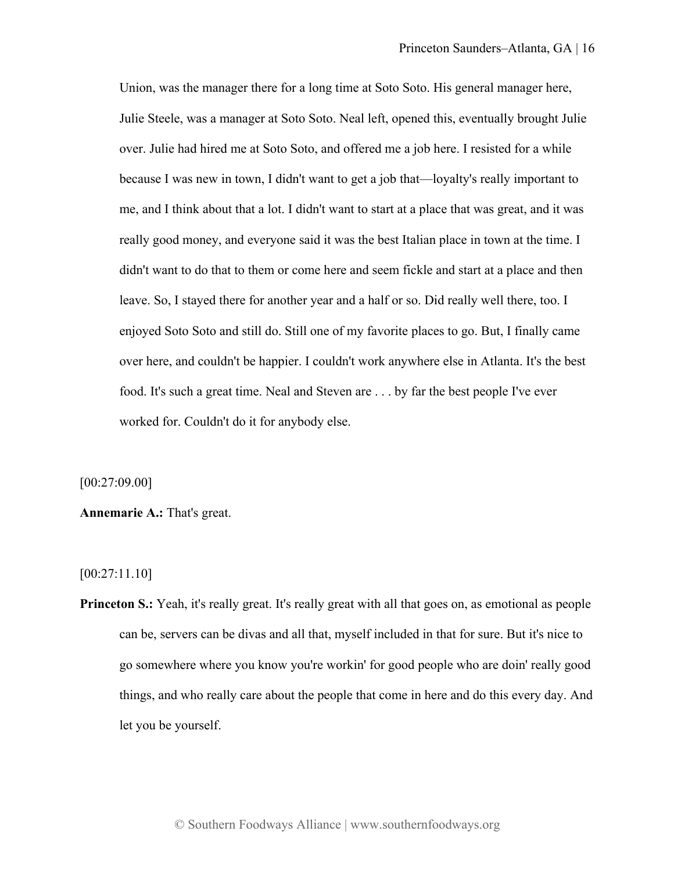Union, was the manager there for a long time at Soto Soto. His general manager here, Julie Steele, was a manager at Soto Soto. Neal left, opened this, eventually brought Julie over. Julie had hired me at Soto Soto, and offered me a job here. I resisted for a while because I was new in town, I didn't want to get a job that—loyalty's really important to me, and I think about that a lot. I didn't want to start at a place that was great, and it was really good money, and everyone said it was the best Italian place in town at the time. I didn't want to do that to them or come here and seem fickle and start at a place and then leave. So, I stayed there for another year and a half or so. Did really well there, too. I enjoyed Soto Soto and still do. Still one of my favorite places to go. But, I finally came over here, and couldn't be happier. I couldn't work anywhere else in Atlanta. It's the best food. It's such a great time. Neal and Steven are . . . by far the best people I've ever worked for. Couldn't do it for anybody else.

[00:27:09.00]

**Annemarie A.:** That's great.

[00:27:11.10]

**Princeton S.:** Yeah, it's really great. It's really great with all that goes on, as emotional as people can be, servers can be divas and all that, myself included in that for sure. But it's nice to go somewhere where you know you're workin' for good people who are doin' really good things, and who really care about the people that come in here and do this every day. And let you be yourself.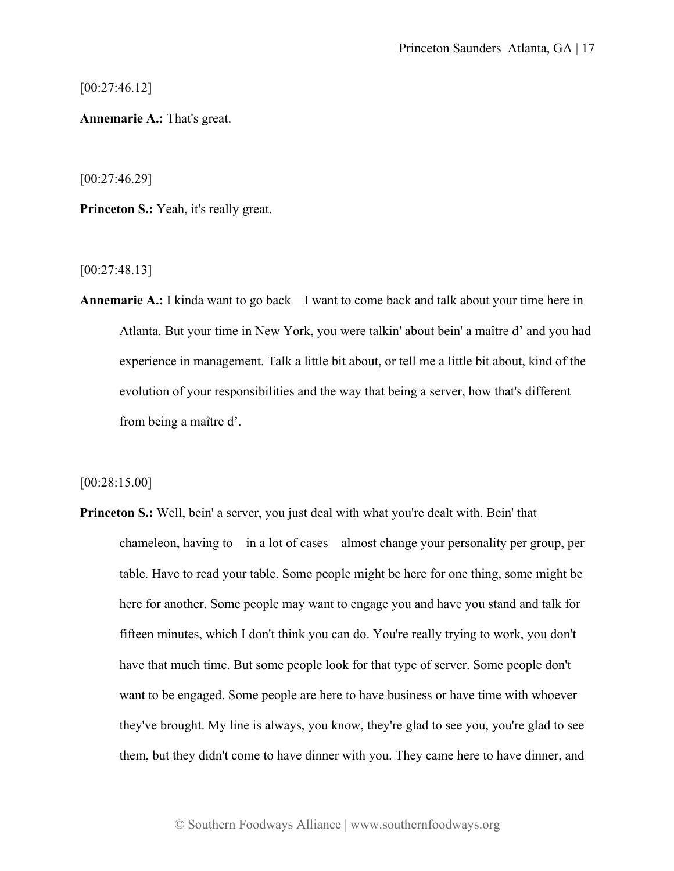[00:27:46.12]

**Annemarie A.:** That's great.

[00:27:46.29]

**Princeton S.:** Yeah, it's really great.

[00:27:48.13]

**Annemarie A.:** I kinda want to go back—I want to come back and talk about your time here in Atlanta. But your time in New York, you were talkin' about bein' a maître d' and you had experience in management. Talk a little bit about, or tell me a little bit about, kind of the evolution of your responsibilities and the way that being a server, how that's different from being a maître d'.

[00:28:15.00]

**Princeton S.:** Well, bein' a server, you just deal with what you're dealt with. Bein' that chameleon, having to—in a lot of cases—almost change your personality per group, per table. Have to read your table. Some people might be here for one thing, some might be here for another. Some people may want to engage you and have you stand and talk for fifteen minutes, which I don't think you can do. You're really trying to work, you don't have that much time. But some people look for that type of server. Some people don't want to be engaged. Some people are here to have business or have time with whoever they've brought. My line is always, you know, they're glad to see you, you're glad to see them, but they didn't come to have dinner with you. They came here to have dinner, and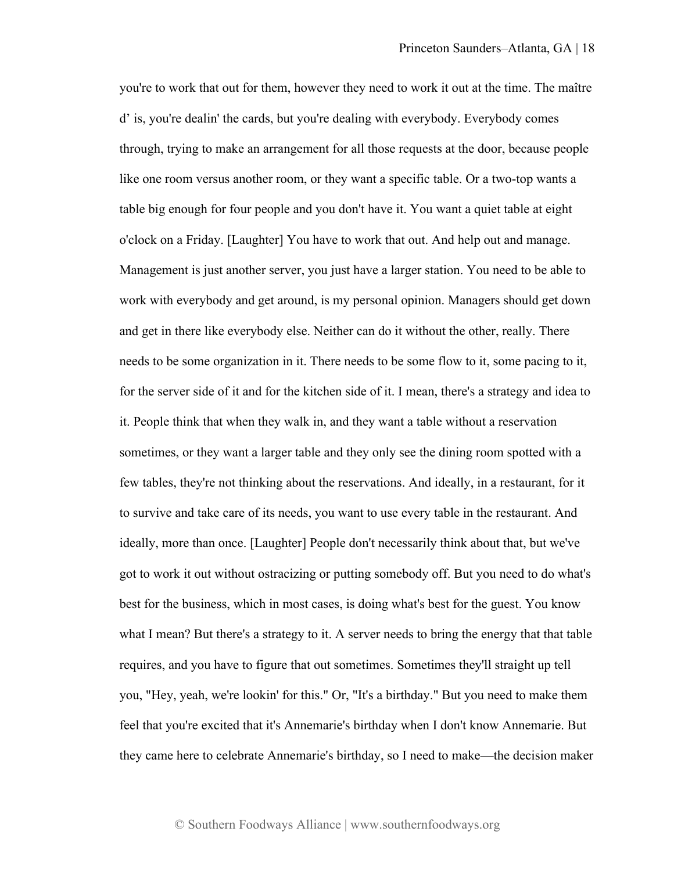you're to work that out for them, however they need to work it out at the time. The maître d' is, you're dealin' the cards, but you're dealing with everybody. Everybody comes through, trying to make an arrangement for all those requests at the door, because people like one room versus another room, or they want a specific table. Or a two-top wants a table big enough for four people and you don't have it. You want a quiet table at eight o'clock on a Friday. [Laughter] You have to work that out. And help out and manage. Management is just another server, you just have a larger station. You need to be able to work with everybody and get around, is my personal opinion. Managers should get down and get in there like everybody else. Neither can do it without the other, really. There needs to be some organization in it. There needs to be some flow to it, some pacing to it, for the server side of it and for the kitchen side of it. I mean, there's a strategy and idea to it. People think that when they walk in, and they want a table without a reservation sometimes, or they want a larger table and they only see the dining room spotted with a few tables, they're not thinking about the reservations. And ideally, in a restaurant, for it to survive and take care of its needs, you want to use every table in the restaurant. And ideally, more than once. [Laughter] People don't necessarily think about that, but we've got to work it out without ostracizing or putting somebody off. But you need to do what's best for the business, which in most cases, is doing what's best for the guest. You know what I mean? But there's a strategy to it. A server needs to bring the energy that that table requires, and you have to figure that out sometimes. Sometimes they'll straight up tell you, "Hey, yeah, we're lookin' for this." Or, "It's a birthday." But you need to make them feel that you're excited that it's Annemarie's birthday when I don't know Annemarie. But they came here to celebrate Annemarie's birthday, so I need to make—the decision maker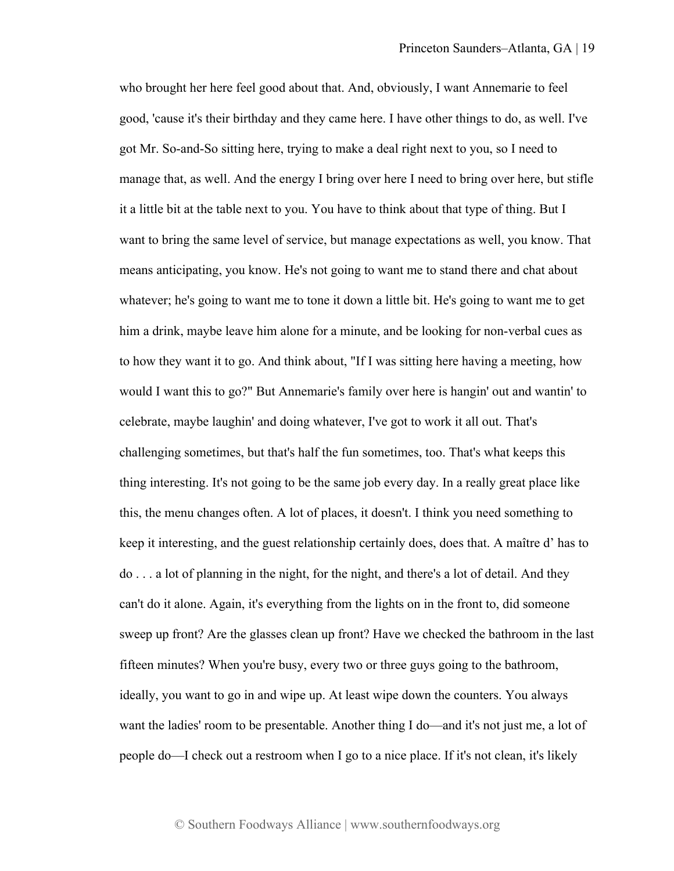who brought her here feel good about that. And, obviously, I want Annemarie to feel good, 'cause it's their birthday and they came here. I have other things to do, as well. I've got Mr. So-and-So sitting here, trying to make a deal right next to you, so I need to manage that, as well. And the energy I bring over here I need to bring over here, but stifle it a little bit at the table next to you. You have to think about that type of thing. But I want to bring the same level of service, but manage expectations as well, you know. That means anticipating, you know. He's not going to want me to stand there and chat about whatever; he's going to want me to tone it down a little bit. He's going to want me to get him a drink, maybe leave him alone for a minute, and be looking for non-verbal cues as to how they want it to go. And think about, "If I was sitting here having a meeting, how would I want this to go?" But Annemarie's family over here is hangin' out and wantin' to celebrate, maybe laughin' and doing whatever, I've got to work it all out. That's challenging sometimes, but that's half the fun sometimes, too. That's what keeps this thing interesting. It's not going to be the same job every day. In a really great place like this, the menu changes often. A lot of places, it doesn't. I think you need something to keep it interesting, and the guest relationship certainly does, does that. A maître d' has to do . . . a lot of planning in the night, for the night, and there's a lot of detail. And they can't do it alone. Again, it's everything from the lights on in the front to, did someone sweep up front? Are the glasses clean up front? Have we checked the bathroom in the last fifteen minutes? When you're busy, every two or three guys going to the bathroom, ideally, you want to go in and wipe up. At least wipe down the counters. You always want the ladies' room to be presentable. Another thing I do—and it's not just me, a lot of people do—I check out a restroom when I go to a nice place. If it's not clean, it's likely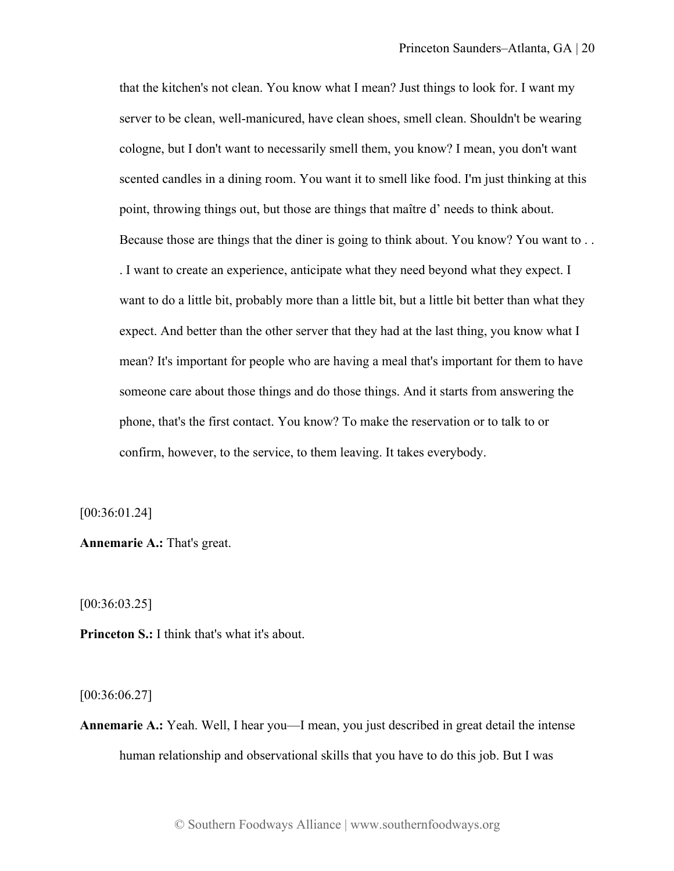that the kitchen's not clean. You know what I mean? Just things to look for. I want my server to be clean, well-manicured, have clean shoes, smell clean. Shouldn't be wearing cologne, but I don't want to necessarily smell them, you know? I mean, you don't want scented candles in a dining room. You want it to smell like food. I'm just thinking at this point, throwing things out, but those are things that maître d' needs to think about. Because those are things that the diner is going to think about. You know? You want to . . . I want to create an experience, anticipate what they need beyond what they expect. I want to do a little bit, probably more than a little bit, but a little bit better than what they expect. And better than the other server that they had at the last thing, you know what I mean? It's important for people who are having a meal that's important for them to have someone care about those things and do those things. And it starts from answering the phone, that's the first contact. You know? To make the reservation or to talk to or confirm, however, to the service, to them leaving. It takes everybody.

[00:36:01.24]

**Annemarie A.:** That's great.

[00:36:03.25]

**Princeton S.:** I think that's what it's about.

[00:36:06.27]

**Annemarie A.:** Yeah. Well, I hear you—I mean, you just described in great detail the intense human relationship and observational skills that you have to do this job. But I was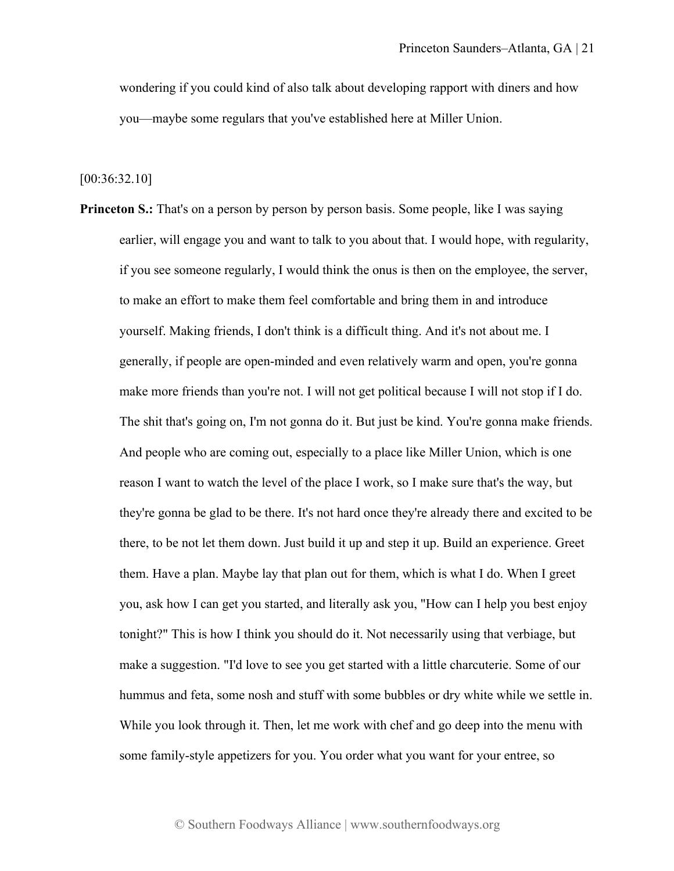wondering if you could kind of also talk about developing rapport with diners and how you—maybe some regulars that you've established here at Miller Union.

[00:36:32.10]

**Princeton S.:** That's on a person by person by person basis. Some people, like I was saying earlier, will engage you and want to talk to you about that. I would hope, with regularity, if you see someone regularly, I would think the onus is then on the employee, the server, to make an effort to make them feel comfortable and bring them in and introduce yourself. Making friends, I don't think is a difficult thing. And it's not about me. I generally, if people are open-minded and even relatively warm and open, you're gonna make more friends than you're not. I will not get political because I will not stop if I do. The shit that's going on, I'm not gonna do it. But just be kind. You're gonna make friends. And people who are coming out, especially to a place like Miller Union, which is one reason I want to watch the level of the place I work, so I make sure that's the way, but they're gonna be glad to be there. It's not hard once they're already there and excited to be there, to be not let them down. Just build it up and step it up. Build an experience. Greet them. Have a plan. Maybe lay that plan out for them, which is what I do. When I greet you, ask how I can get you started, and literally ask you, "How can I help you best enjoy tonight?" This is how I think you should do it. Not necessarily using that verbiage, but make a suggestion. "I'd love to see you get started with a little charcuterie. Some of our hummus and feta, some nosh and stuff with some bubbles or dry white while we settle in. While you look through it. Then, let me work with chef and go deep into the menu with some family-style appetizers for you. You order what you want for your entree, so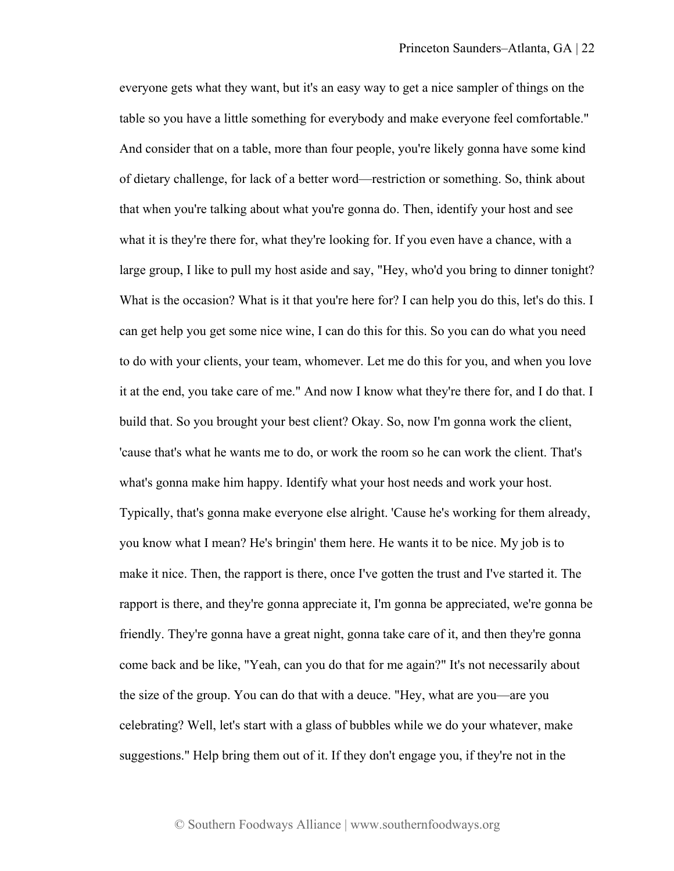everyone gets what they want, but it's an easy way to get a nice sampler of things on the table so you have a little something for everybody and make everyone feel comfortable." And consider that on a table, more than four people, you're likely gonna have some kind of dietary challenge, for lack of a better word—restriction or something. So, think about that when you're talking about what you're gonna do. Then, identify your host and see what it is they're there for, what they're looking for. If you even have a chance, with a large group, I like to pull my host aside and say, "Hey, who'd you bring to dinner tonight? What is the occasion? What is it that you're here for? I can help you do this, let's do this. I can get help you get some nice wine, I can do this for this. So you can do what you need to do with your clients, your team, whomever. Let me do this for you, and when you love it at the end, you take care of me." And now I know what they're there for, and I do that. I build that. So you brought your best client? Okay. So, now I'm gonna work the client, 'cause that's what he wants me to do, or work the room so he can work the client. That's what's gonna make him happy. Identify what your host needs and work your host. Typically, that's gonna make everyone else alright. 'Cause he's working for them already, you know what I mean? He's bringin' them here. He wants it to be nice. My job is to make it nice. Then, the rapport is there, once I've gotten the trust and I've started it. The rapport is there, and they're gonna appreciate it, I'm gonna be appreciated, we're gonna be friendly. They're gonna have a great night, gonna take care of it, and then they're gonna come back and be like, "Yeah, can you do that for me again?" It's not necessarily about the size of the group. You can do that with a deuce. "Hey, what are you—are you celebrating? Well, let's start with a glass of bubbles while we do your whatever, make suggestions." Help bring them out of it. If they don't engage you, if they're not in the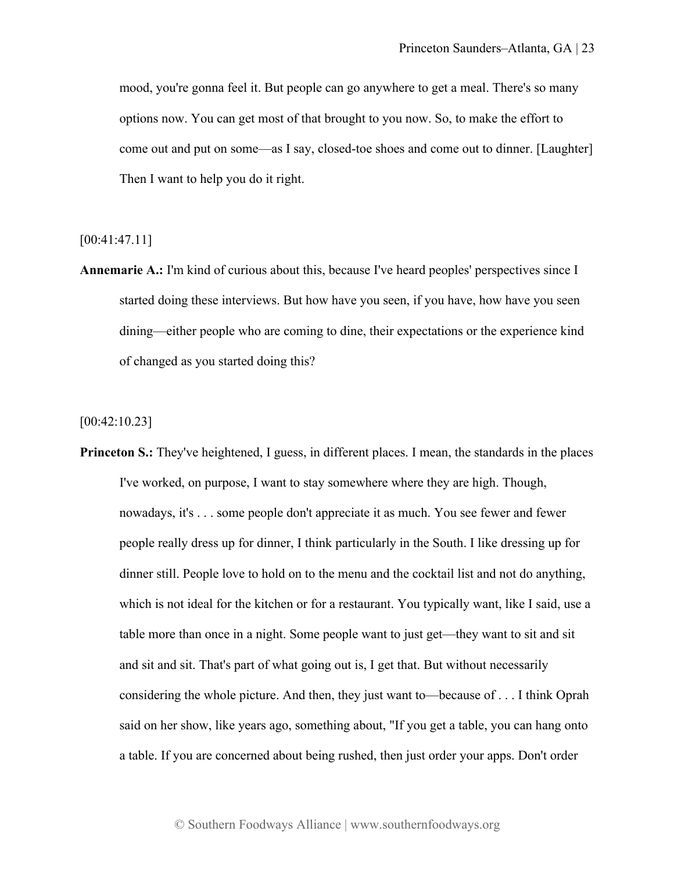mood, you're gonna feel it. But people can go anywhere to get a meal. There's so many options now. You can get most of that brought to you now. So, to make the effort to come out and put on some—as I say, closed-toe shoes and come out to dinner. [Laughter] Then I want to help you do it right.

[00:41:47.11]

**Annemarie A.:** I'm kind of curious about this, because I've heard peoples' perspectives since I started doing these interviews. But how have you seen, if you have, how have you seen dining—either people who are coming to dine, their expectations or the experience kind of changed as you started doing this?

[00:42:10.23]

**Princeton S.:** They've heightened, I guess, in different places. I mean, the standards in the places I've worked, on purpose, I want to stay somewhere where they are high. Though, nowadays, it's . . . some people don't appreciate it as much. You see fewer and fewer people really dress up for dinner, I think particularly in the South. I like dressing up for dinner still. People love to hold on to the menu and the cocktail list and not do anything, which is not ideal for the kitchen or for a restaurant. You typically want, like I said, use a table more than once in a night. Some people want to just get—they want to sit and sit and sit and sit. That's part of what going out is, I get that. But without necessarily considering the whole picture. And then, they just want to—because of . . . I think Oprah said on her show, like years ago, something about, "If you get a table, you can hang onto a table. If you are concerned about being rushed, then just order your apps. Don't order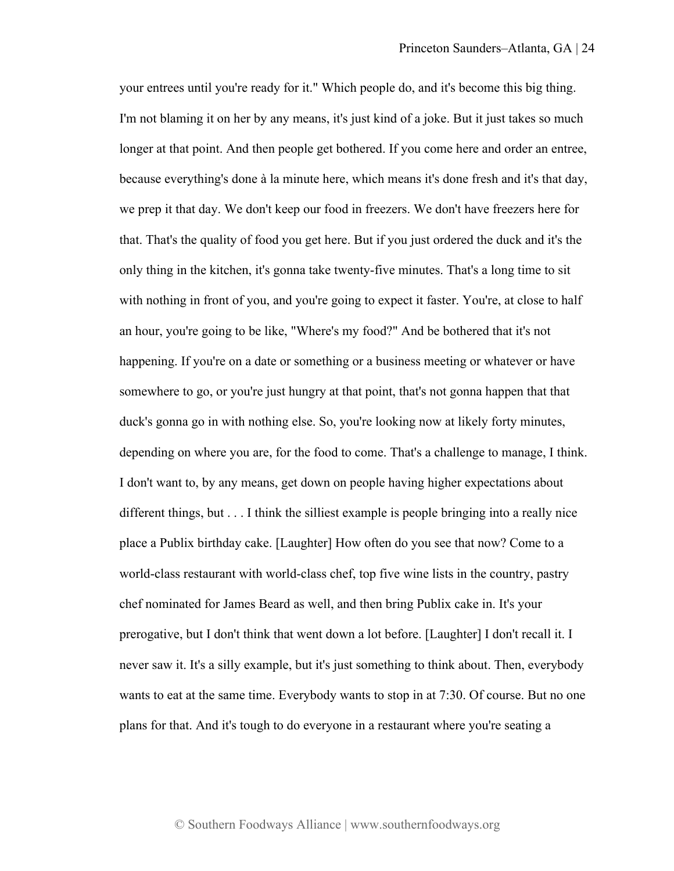your entrees until you're ready for it." Which people do, and it's become this big thing. I'm not blaming it on her by any means, it's just kind of a joke. But it just takes so much longer at that point. And then people get bothered. If you come here and order an entree, because everything's done à la minute here, which means it's done fresh and it's that day, we prep it that day. We don't keep our food in freezers. We don't have freezers here for that. That's the quality of food you get here. But if you just ordered the duck and it's the only thing in the kitchen, it's gonna take twenty-five minutes. That's a long time to sit with nothing in front of you, and you're going to expect it faster. You're, at close to half an hour, you're going to be like, "Where's my food?" And be bothered that it's not happening. If you're on a date or something or a business meeting or whatever or have somewhere to go, or you're just hungry at that point, that's not gonna happen that that duck's gonna go in with nothing else. So, you're looking now at likely forty minutes, depending on where you are, for the food to come. That's a challenge to manage, I think. I don't want to, by any means, get down on people having higher expectations about different things, but . . . I think the silliest example is people bringing into a really nice place a Publix birthday cake. [Laughter] How often do you see that now? Come to a world-class restaurant with world-class chef, top five wine lists in the country, pastry chef nominated for James Beard as well, and then bring Publix cake in. It's your prerogative, but I don't think that went down a lot before. [Laughter] I don't recall it. I never saw it. It's a silly example, but it's just something to think about. Then, everybody wants to eat at the same time. Everybody wants to stop in at 7:30. Of course. But no one plans for that. And it's tough to do everyone in a restaurant where you're seating a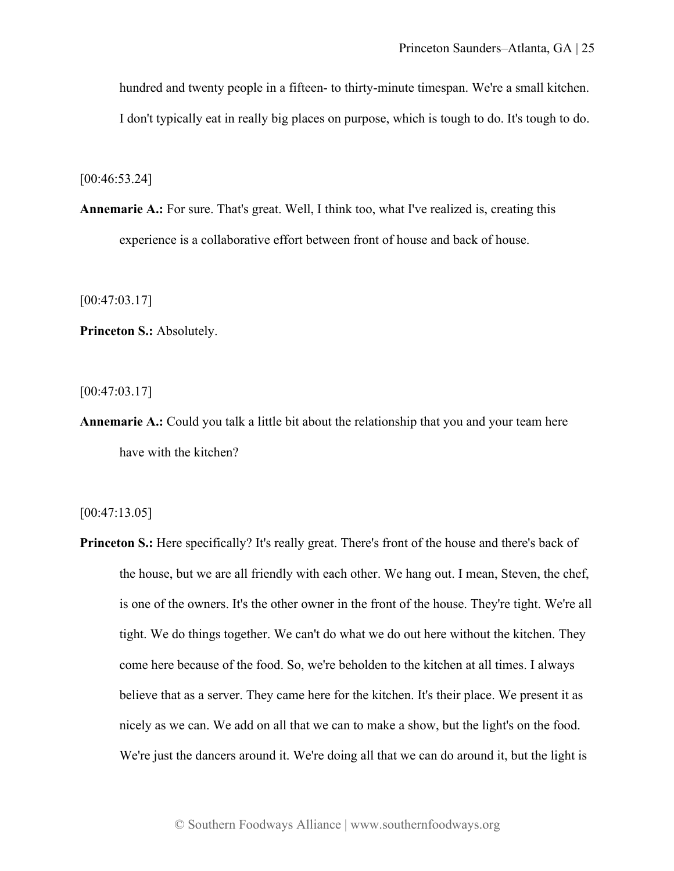hundred and twenty people in a fifteen- to thirty-minute timespan. We're a small kitchen. I don't typically eat in really big places on purpose, which is tough to do. It's tough to do.

[00:46:53.24]

**Annemarie A.:** For sure. That's great. Well, I think too, what I've realized is, creating this experience is a collaborative effort between front of house and back of house.

[00:47:03.17]

**Princeton S.:** Absolutely.

[00:47:03.17]

**Annemarie A.:** Could you talk a little bit about the relationship that you and your team here have with the kitchen?

[00:47:13.05]

**Princeton S.:** Here specifically? It's really great. There's front of the house and there's back of the house, but we are all friendly with each other. We hang out. I mean, Steven, the chef, is one of the owners. It's the other owner in the front of the house. They're tight. We're all tight. We do things together. We can't do what we do out here without the kitchen. They come here because of the food. So, we're beholden to the kitchen at all times. I always believe that as a server. They came here for the kitchen. It's their place. We present it as nicely as we can. We add on all that we can to make a show, but the light's on the food. We're just the dancers around it. We're doing all that we can do around it, but the light is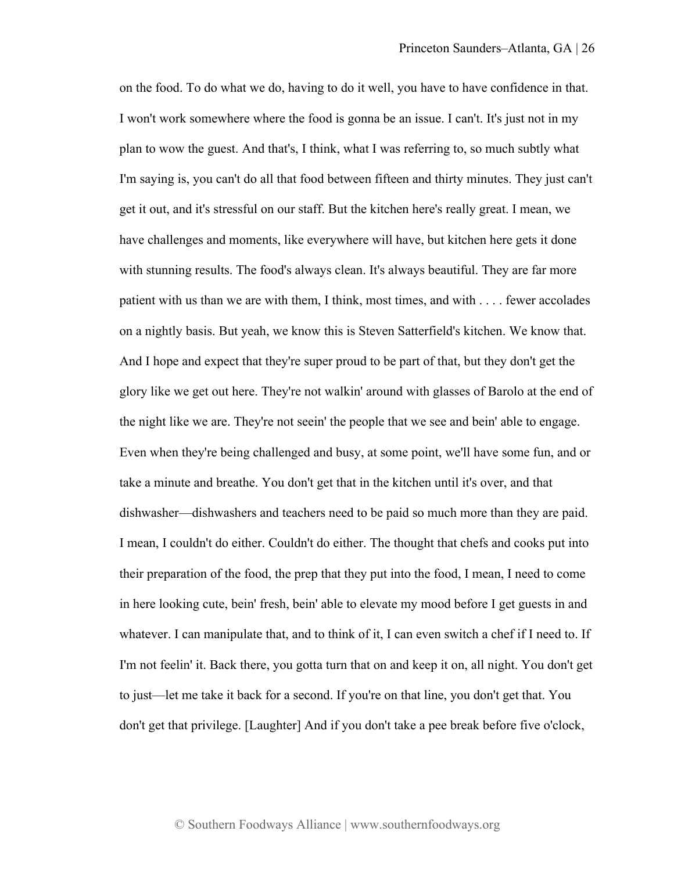on the food. To do what we do, having to do it well, you have to have confidence in that. I won't work somewhere where the food is gonna be an issue. I can't. It's just not in my plan to wow the guest. And that's, I think, what I was referring to, so much subtly what I'm saying is, you can't do all that food between fifteen and thirty minutes. They just can't get it out, and it's stressful on our staff. But the kitchen here's really great. I mean, we have challenges and moments, like everywhere will have, but kitchen here gets it done with stunning results. The food's always clean. It's always beautiful. They are far more patient with us than we are with them, I think, most times, and with . . . . fewer accolades on a nightly basis. But yeah, we know this is Steven Satterfield's kitchen. We know that. And I hope and expect that they're super proud to be part of that, but they don't get the glory like we get out here. They're not walkin' around with glasses of Barolo at the end of the night like we are. They're not seein' the people that we see and bein' able to engage. Even when they're being challenged and busy, at some point, we'll have some fun, and or take a minute and breathe. You don't get that in the kitchen until it's over, and that dishwasher—dishwashers and teachers need to be paid so much more than they are paid. I mean, I couldn't do either. Couldn't do either. The thought that chefs and cooks put into their preparation of the food, the prep that they put into the food, I mean, I need to come in here looking cute, bein' fresh, bein' able to elevate my mood before I get guests in and whatever. I can manipulate that, and to think of it, I can even switch a chef if I need to. If I'm not feelin' it. Back there, you gotta turn that on and keep it on, all night. You don't get to just—let me take it back for a second. If you're on that line, you don't get that. You don't get that privilege. [Laughter] And if you don't take a pee break before five o'clock,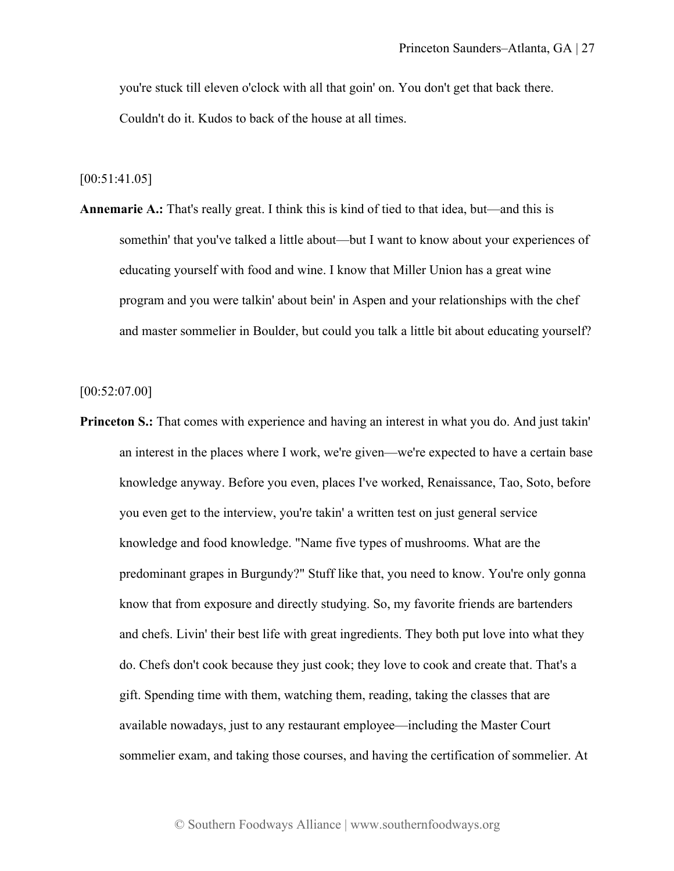you're stuck till eleven o'clock with all that goin' on. You don't get that back there. Couldn't do it. Kudos to back of the house at all times.

[00:51:41.05]

**Annemarie A.:** That's really great. I think this is kind of tied to that idea, but—and this is somethin' that you've talked a little about—but I want to know about your experiences of educating yourself with food and wine. I know that Miller Union has a great wine program and you were talkin' about bein' in Aspen and your relationships with the chef and master sommelier in Boulder, but could you talk a little bit about educating yourself?

[00:52:07.00]

**Princeton S.:** That comes with experience and having an interest in what you do. And just takin' an interest in the places where I work, we're given—we're expected to have a certain base knowledge anyway. Before you even, places I've worked, Renaissance, Tao, Soto, before you even get to the interview, you're takin' a written test on just general service knowledge and food knowledge. "Name five types of mushrooms. What are the predominant grapes in Burgundy?" Stuff like that, you need to know. You're only gonna know that from exposure and directly studying. So, my favorite friends are bartenders and chefs. Livin' their best life with great ingredients. They both put love into what they do. Chefs don't cook because they just cook; they love to cook and create that. That's a gift. Spending time with them, watching them, reading, taking the classes that are available nowadays, just to any restaurant employee—including the Master Court sommelier exam, and taking those courses, and having the certification of sommelier. At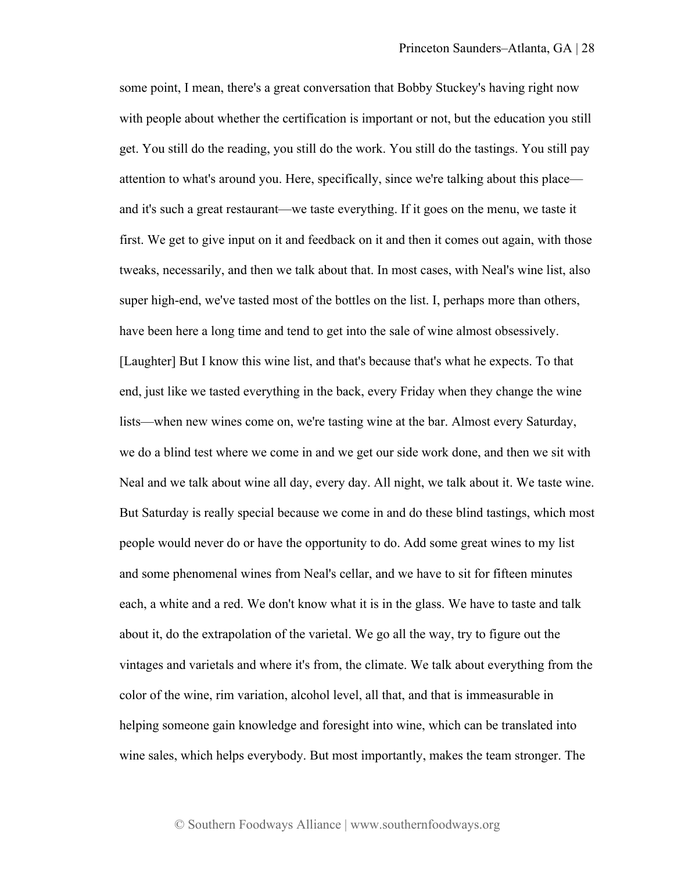some point, I mean, there's a great conversation that Bobby Stuckey's having right now with people about whether the certification is important or not, but the education you still get. You still do the reading, you still do the work. You still do the tastings. You still pay attention to what's around you. Here, specifically, since we're talking about this place and it's such a great restaurant—we taste everything. If it goes on the menu, we taste it first. We get to give input on it and feedback on it and then it comes out again, with those tweaks, necessarily, and then we talk about that. In most cases, with Neal's wine list, also super high-end, we've tasted most of the bottles on the list. I, perhaps more than others, have been here a long time and tend to get into the sale of wine almost obsessively. [Laughter] But I know this wine list, and that's because that's what he expects. To that end, just like we tasted everything in the back, every Friday when they change the wine lists—when new wines come on, we're tasting wine at the bar. Almost every Saturday, we do a blind test where we come in and we get our side work done, and then we sit with Neal and we talk about wine all day, every day. All night, we talk about it. We taste wine. But Saturday is really special because we come in and do these blind tastings, which most people would never do or have the opportunity to do. Add some great wines to my list and some phenomenal wines from Neal's cellar, and we have to sit for fifteen minutes each, a white and a red. We don't know what it is in the glass. We have to taste and talk about it, do the extrapolation of the varietal. We go all the way, try to figure out the vintages and varietals and where it's from, the climate. We talk about everything from the color of the wine, rim variation, alcohol level, all that, and that is immeasurable in helping someone gain knowledge and foresight into wine, which can be translated into wine sales, which helps everybody. But most importantly, makes the team stronger. The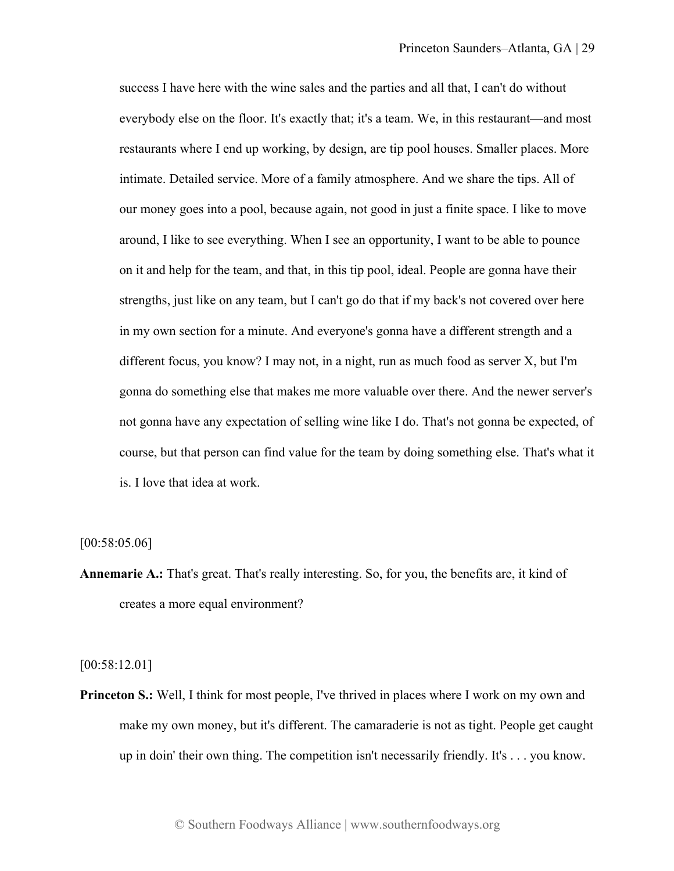success I have here with the wine sales and the parties and all that, I can't do without everybody else on the floor. It's exactly that; it's a team. We, in this restaurant—and most restaurants where I end up working, by design, are tip pool houses. Smaller places. More intimate. Detailed service. More of a family atmosphere. And we share the tips. All of our money goes into a pool, because again, not good in just a finite space. I like to move around, I like to see everything. When I see an opportunity, I want to be able to pounce on it and help for the team, and that, in this tip pool, ideal. People are gonna have their strengths, just like on any team, but I can't go do that if my back's not covered over here in my own section for a minute. And everyone's gonna have a different strength and a different focus, you know? I may not, in a night, run as much food as server X, but I'm gonna do something else that makes me more valuable over there. And the newer server's not gonna have any expectation of selling wine like I do. That's not gonna be expected, of course, but that person can find value for the team by doing something else. That's what it is. I love that idea at work.

[00:58:05.06]

**Annemarie A.:** That's great. That's really interesting. So, for you, the benefits are, it kind of creates a more equal environment?

[00:58:12.01]

**Princeton S.:** Well, I think for most people, I've thrived in places where I work on my own and make my own money, but it's different. The camaraderie is not as tight. People get caught up in doin' their own thing. The competition isn't necessarily friendly. It's . . . you know.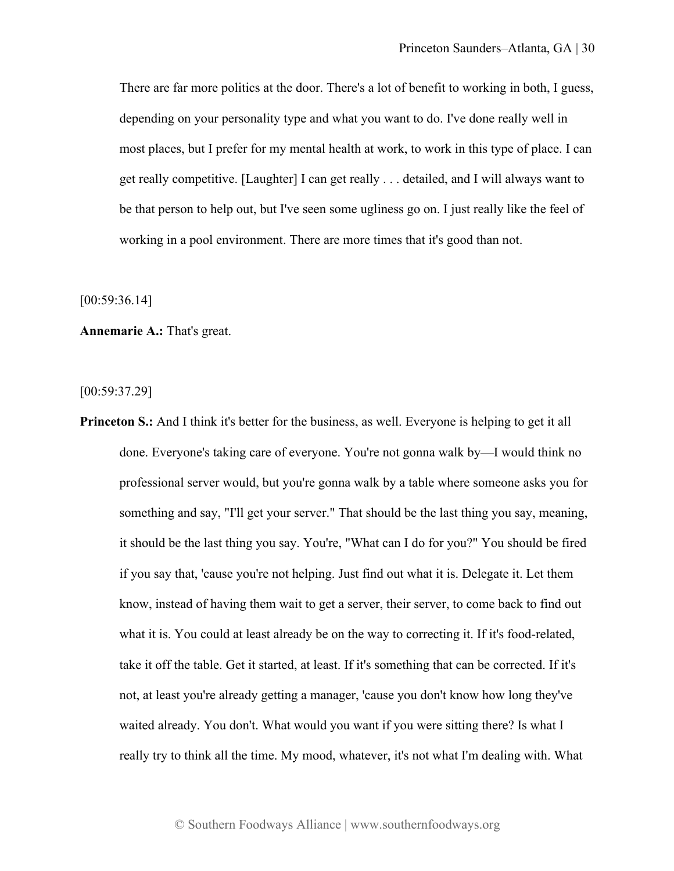There are far more politics at the door. There's a lot of benefit to working in both, I guess, depending on your personality type and what you want to do. I've done really well in most places, but I prefer for my mental health at work, to work in this type of place. I can get really competitive. [Laughter] I can get really . . . detailed, and I will always want to be that person to help out, but I've seen some ugliness go on. I just really like the feel of working in a pool environment. There are more times that it's good than not.

[00:59:36.14]

**Annemarie A.:** That's great.

[00:59:37.29]

**Princeton S.:** And I think it's better for the business, as well. Everyone is helping to get it all done. Everyone's taking care of everyone. You're not gonna walk by—I would think no professional server would, but you're gonna walk by a table where someone asks you for something and say, "I'll get your server." That should be the last thing you say, meaning, it should be the last thing you say. You're, "What can I do for you?" You should be fired if you say that, 'cause you're not helping. Just find out what it is. Delegate it. Let them know, instead of having them wait to get a server, their server, to come back to find out what it is. You could at least already be on the way to correcting it. If it's food-related, take it off the table. Get it started, at least. If it's something that can be corrected. If it's not, at least you're already getting a manager, 'cause you don't know how long they've waited already. You don't. What would you want if you were sitting there? Is what I really try to think all the time. My mood, whatever, it's not what I'm dealing with. What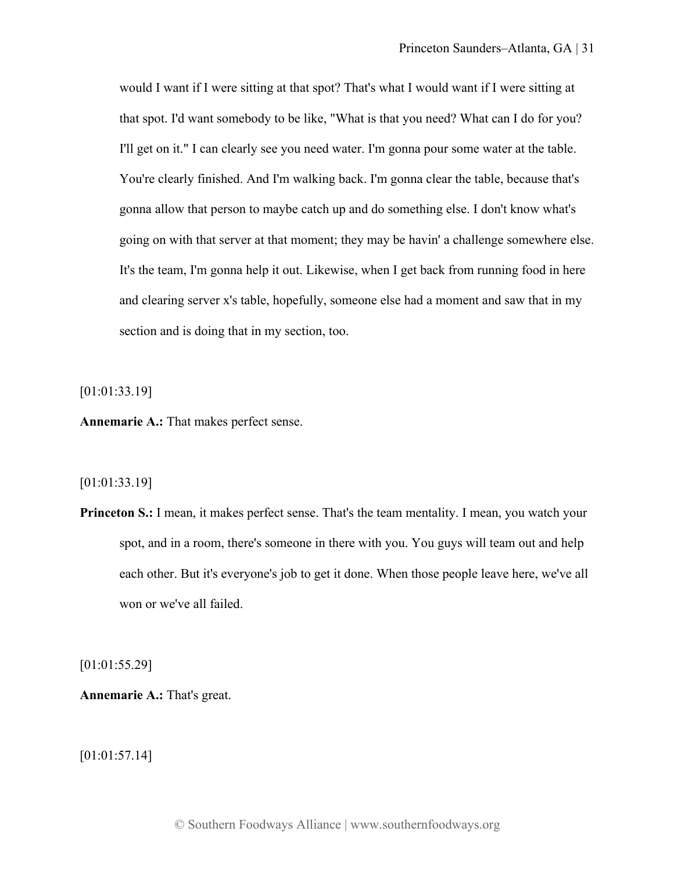would I want if I were sitting at that spot? That's what I would want if I were sitting at that spot. I'd want somebody to be like, "What is that you need? What can I do for you? I'll get on it." I can clearly see you need water. I'm gonna pour some water at the table. You're clearly finished. And I'm walking back. I'm gonna clear the table, because that's gonna allow that person to maybe catch up and do something else. I don't know what's going on with that server at that moment; they may be havin' a challenge somewhere else. It's the team, I'm gonna help it out. Likewise, when I get back from running food in here and clearing server x's table, hopefully, someone else had a moment and saw that in my section and is doing that in my section, too.

[01:01:33.19]

**Annemarie A.:** That makes perfect sense.

[01:01:33.19]

**Princeton S.:** I mean, it makes perfect sense. That's the team mentality. I mean, you watch your spot, and in a room, there's someone in there with you. You guys will team out and help each other. But it's everyone's job to get it done. When those people leave here, we've all won or we've all failed.

[01:01:55.29]

**Annemarie A.:** That's great.

[01:01:57.14]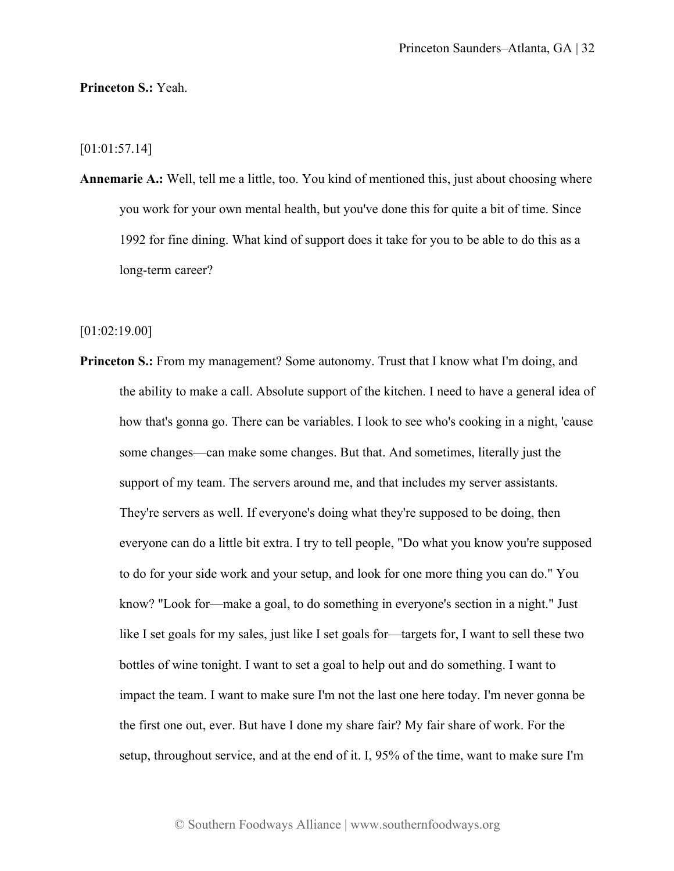#### **Princeton S.:** Yeah.

[01:01:57.14]

**Annemarie A.:** Well, tell me a little, too. You kind of mentioned this, just about choosing where you work for your own mental health, but you've done this for quite a bit of time. Since 1992 for fine dining. What kind of support does it take for you to be able to do this as a long-term career?

[01:02:19.00]

**Princeton S.:** From my management? Some autonomy. Trust that I know what I'm doing, and the ability to make a call. Absolute support of the kitchen. I need to have a general idea of how that's gonna go. There can be variables. I look to see who's cooking in a night, 'cause some changes—can make some changes. But that. And sometimes, literally just the support of my team. The servers around me, and that includes my server assistants. They're servers as well. If everyone's doing what they're supposed to be doing, then everyone can do a little bit extra. I try to tell people, "Do what you know you're supposed to do for your side work and your setup, and look for one more thing you can do." You know? "Look for—make a goal, to do something in everyone's section in a night." Just like I set goals for my sales, just like I set goals for—targets for, I want to sell these two bottles of wine tonight. I want to set a goal to help out and do something. I want to impact the team. I want to make sure I'm not the last one here today. I'm never gonna be the first one out, ever. But have I done my share fair? My fair share of work. For the setup, throughout service, and at the end of it. I, 95% of the time, want to make sure I'm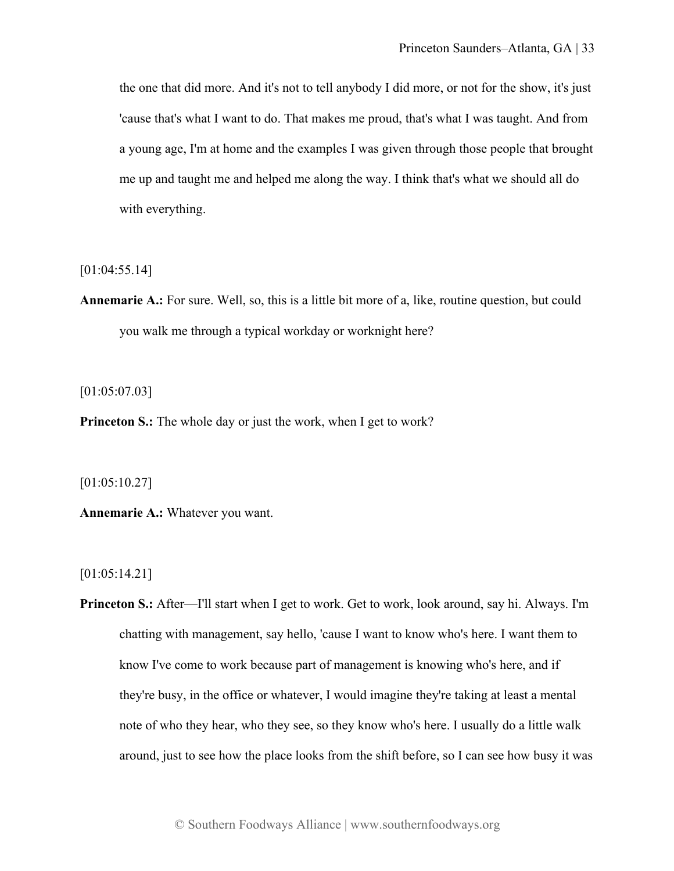the one that did more. And it's not to tell anybody I did more, or not for the show, it's just 'cause that's what I want to do. That makes me proud, that's what I was taught. And from a young age, I'm at home and the examples I was given through those people that brought me up and taught me and helped me along the way. I think that's what we should all do with everything.

[01:04:55.14]

**Annemarie A.:** For sure. Well, so, this is a little bit more of a, like, routine question, but could you walk me through a typical workday or worknight here?

[01:05:07.03]

**Princeton S.:** The whole day or just the work, when I get to work?

[01:05:10.27]

**Annemarie A.:** Whatever you want.

[01:05:14.21]

**Princeton S.:** After—I'll start when I get to work. Get to work, look around, say hi. Always. I'm chatting with management, say hello, 'cause I want to know who's here. I want them to know I've come to work because part of management is knowing who's here, and if they're busy, in the office or whatever, I would imagine they're taking at least a mental note of who they hear, who they see, so they know who's here. I usually do a little walk around, just to see how the place looks from the shift before, so I can see how busy it was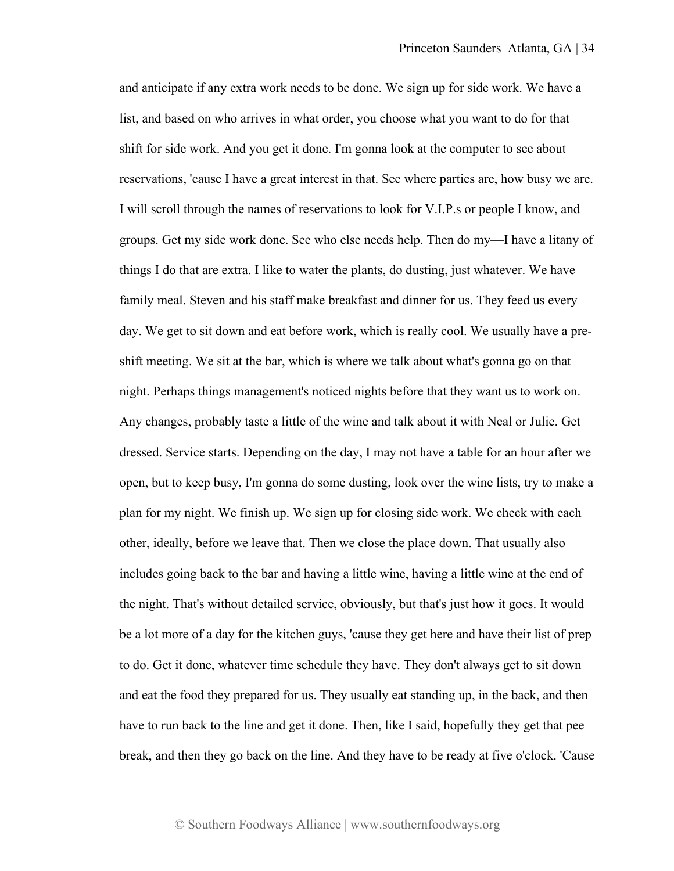and anticipate if any extra work needs to be done. We sign up for side work. We have a list, and based on who arrives in what order, you choose what you want to do for that shift for side work. And you get it done. I'm gonna look at the computer to see about reservations, 'cause I have a great interest in that. See where parties are, how busy we are. I will scroll through the names of reservations to look for V.I.P.s or people I know, and groups. Get my side work done. See who else needs help. Then do my—I have a litany of things I do that are extra. I like to water the plants, do dusting, just whatever. We have family meal. Steven and his staff make breakfast and dinner for us. They feed us every day. We get to sit down and eat before work, which is really cool. We usually have a preshift meeting. We sit at the bar, which is where we talk about what's gonna go on that night. Perhaps things management's noticed nights before that they want us to work on. Any changes, probably taste a little of the wine and talk about it with Neal or Julie. Get dressed. Service starts. Depending on the day, I may not have a table for an hour after we open, but to keep busy, I'm gonna do some dusting, look over the wine lists, try to make a plan for my night. We finish up. We sign up for closing side work. We check with each other, ideally, before we leave that. Then we close the place down. That usually also includes going back to the bar and having a little wine, having a little wine at the end of the night. That's without detailed service, obviously, but that's just how it goes. It would be a lot more of a day for the kitchen guys, 'cause they get here and have their list of prep to do. Get it done, whatever time schedule they have. They don't always get to sit down and eat the food they prepared for us. They usually eat standing up, in the back, and then have to run back to the line and get it done. Then, like I said, hopefully they get that pee break, and then they go back on the line. And they have to be ready at five o'clock. 'Cause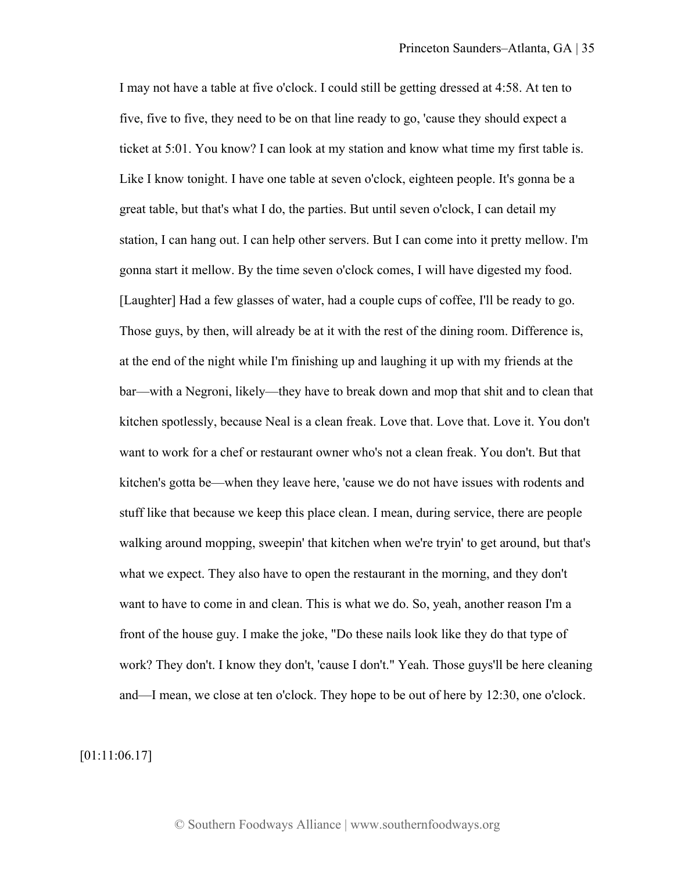I may not have a table at five o'clock. I could still be getting dressed at 4:58. At ten to five, five to five, they need to be on that line ready to go, 'cause they should expect a ticket at 5:01. You know? I can look at my station and know what time my first table is. Like I know tonight. I have one table at seven o'clock, eighteen people. It's gonna be a great table, but that's what I do, the parties. But until seven o'clock, I can detail my station, I can hang out. I can help other servers. But I can come into it pretty mellow. I'm gonna start it mellow. By the time seven o'clock comes, I will have digested my food. [Laughter] Had a few glasses of water, had a couple cups of coffee, I'll be ready to go. Those guys, by then, will already be at it with the rest of the dining room. Difference is, at the end of the night while I'm finishing up and laughing it up with my friends at the bar—with a Negroni, likely—they have to break down and mop that shit and to clean that kitchen spotlessly, because Neal is a clean freak. Love that. Love that. Love it. You don't want to work for a chef or restaurant owner who's not a clean freak. You don't. But that kitchen's gotta be—when they leave here, 'cause we do not have issues with rodents and stuff like that because we keep this place clean. I mean, during service, there are people walking around mopping, sweepin' that kitchen when we're tryin' to get around, but that's what we expect. They also have to open the restaurant in the morning, and they don't want to have to come in and clean. This is what we do. So, yeah, another reason I'm a front of the house guy. I make the joke, "Do these nails look like they do that type of work? They don't. I know they don't, 'cause I don't." Yeah. Those guys'll be here cleaning and—I mean, we close at ten o'clock. They hope to be out of here by 12:30, one o'clock.

[01:11:06.17]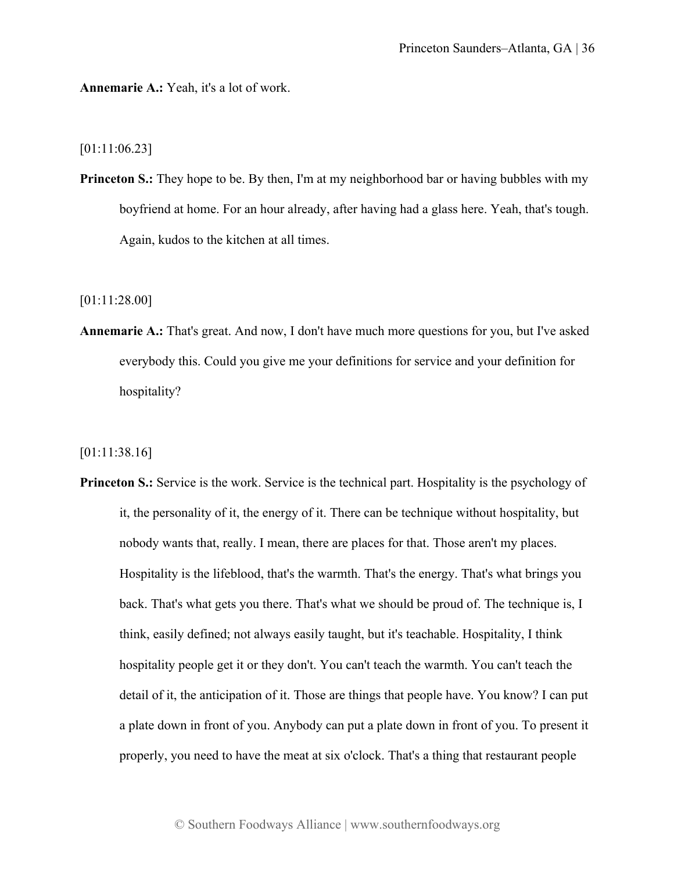**Annemarie A.:** Yeah, it's a lot of work.

[01:11:06.23]

**Princeton S.:** They hope to be. By then, I'm at my neighborhood bar or having bubbles with my boyfriend at home. For an hour already, after having had a glass here. Yeah, that's tough. Again, kudos to the kitchen at all times.

[01:11:28.00]

**Annemarie A.:** That's great. And now, I don't have much more questions for you, but I've asked everybody this. Could you give me your definitions for service and your definition for hospitality?

[01:11:38.16]

**Princeton S.:** Service is the work. Service is the technical part. Hospitality is the psychology of it, the personality of it, the energy of it. There can be technique without hospitality, but nobody wants that, really. I mean, there are places for that. Those aren't my places. Hospitality is the lifeblood, that's the warmth. That's the energy. That's what brings you back. That's what gets you there. That's what we should be proud of. The technique is, I think, easily defined; not always easily taught, but it's teachable. Hospitality, I think hospitality people get it or they don't. You can't teach the warmth. You can't teach the detail of it, the anticipation of it. Those are things that people have. You know? I can put a plate down in front of you. Anybody can put a plate down in front of you. To present it properly, you need to have the meat at six o'clock. That's a thing that restaurant people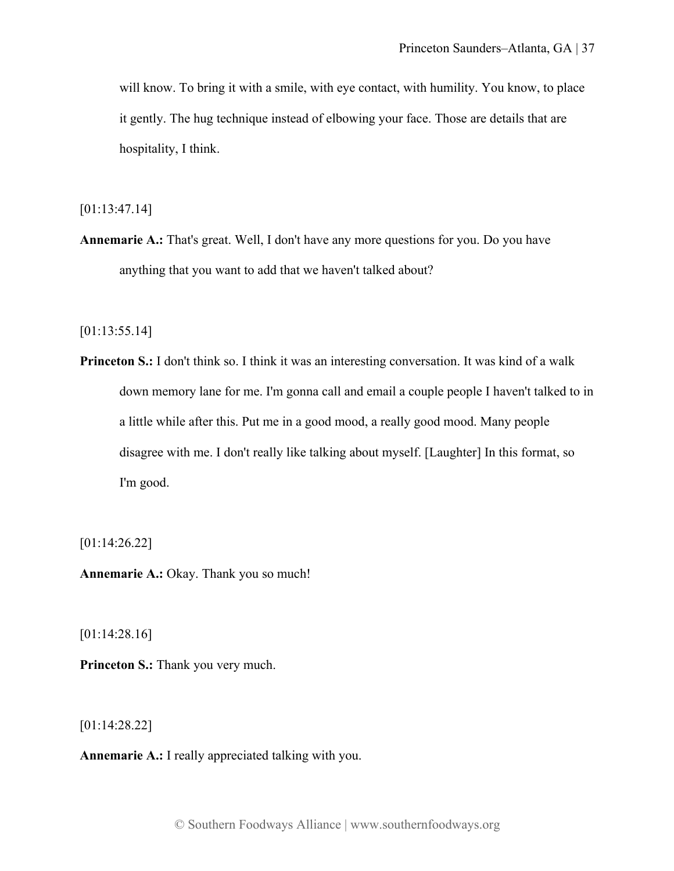will know. To bring it with a smile, with eye contact, with humility. You know, to place it gently. The hug technique instead of elbowing your face. Those are details that are hospitality, I think.

[01:13:47.14]

**Annemarie A.:** That's great. Well, I don't have any more questions for you. Do you have anything that you want to add that we haven't talked about?

[01:13:55.14]

**Princeton S.:** I don't think so. I think it was an interesting conversation. It was kind of a walk down memory lane for me. I'm gonna call and email a couple people I haven't talked to in a little while after this. Put me in a good mood, a really good mood. Many people disagree with me. I don't really like talking about myself. [Laughter] In this format, so I'm good.

[01:14:26.22]

**Annemarie A.:** Okay. Thank you so much!

[01:14:28.16]

**Princeton S.:** Thank you very much.

[01:14:28.22]

**Annemarie A.:** I really appreciated talking with you.